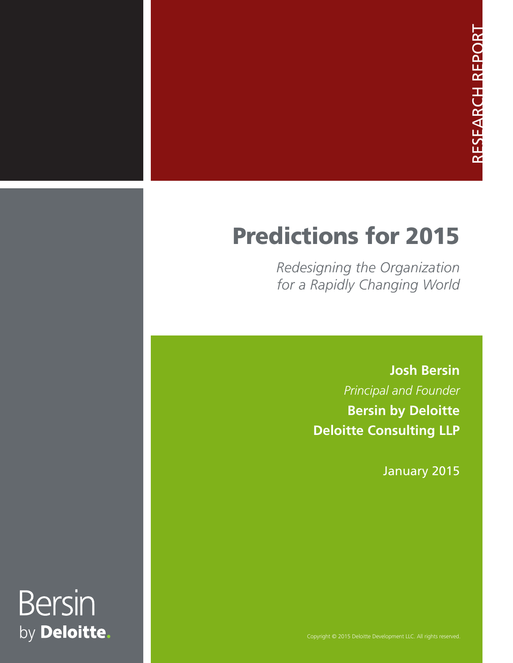# Predictions for 2015

*Redesigning the Organization for a Rapidly Changing World*

> **Josh Bersin**  *Principal and Founder* **Bersin by Deloitte Deloitte Consulting LLP**

> > January 2015

# **Bersin** by Deloitte.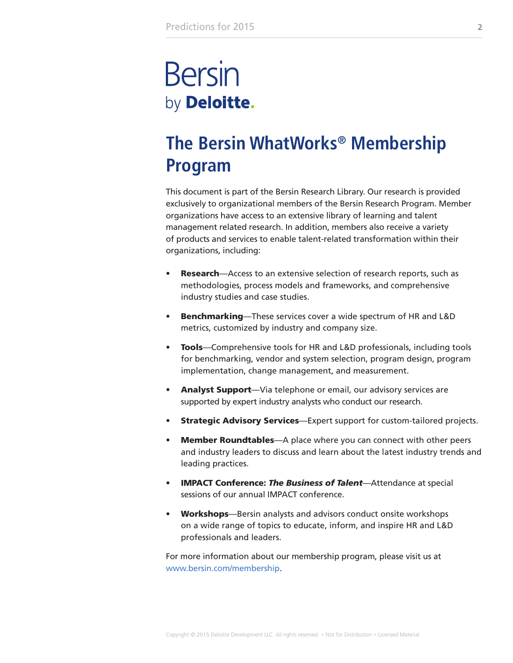# **Bersin** by Deloitte.

## **The Bersin WhatWorks® Membership Program**

This document is part of the Bersin Research Library. Our research is provided exclusively to organizational members of the Bersin Research Program. Member organizations have access to an extensive library of learning and talent management related research. In addition, members also receive a variety of products and services to enable talent-related transformation within their organizations, including:

- Research—Access to an extensive selection of research reports, such as methodologies, process models and frameworks, and comprehensive industry studies and case studies.
- Benchmarking—These services cover a wide spectrum of HR and L&D metrics, customized by industry and company size.
- Tools—Comprehensive tools for HR and L&D professionals, including tools for benchmarking, vendor and system selection, program design, program implementation, change management, and measurement.
- Analyst Support—Via telephone or email, our advisory services are supported by expert industry analysts who conduct our research.
- Strategic Advisory Services-Expert support for custom-tailored projects.
- Member Roundtables—A place where you can connect with other peers and industry leaders to discuss and learn about the latest industry trends and leading practices.
- IMPACT Conference: *The Business of Talent*—Attendance at special sessions of our annual IMPACT conference.
- Workshops-Bersin analysts and advisors conduct onsite workshops on a wide range of topics to educate, inform, and inspire HR and L&D professionals and leaders.

For more information about our membership program, please visit us at www.bersin.com/membership.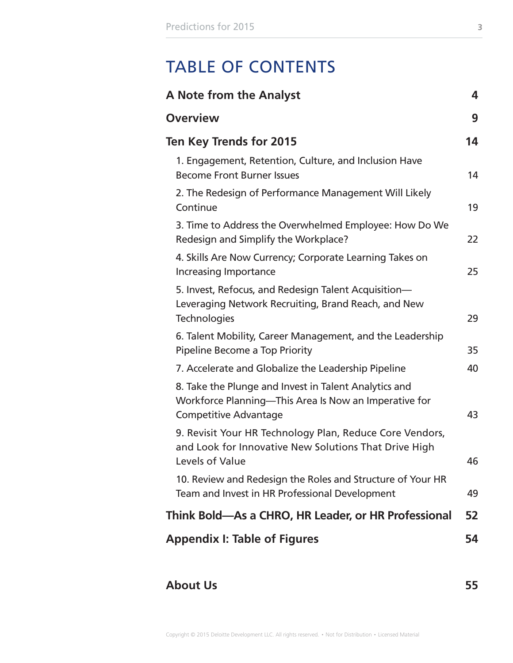## TABLE OF CONTENTS

| A Note from the Analyst                                                                                                                        | 4  |
|------------------------------------------------------------------------------------------------------------------------------------------------|----|
| <b>Overview</b>                                                                                                                                | 9  |
| Ten Key Trends for 2015                                                                                                                        | 14 |
| 1. Engagement, Retention, Culture, and Inclusion Have<br><b>Become Front Burner Issues</b>                                                     | 14 |
| 2. The Redesign of Performance Management Will Likely<br>Continue                                                                              | 19 |
| 3. Time to Address the Overwhelmed Employee: How Do We<br>Redesign and Simplify the Workplace?                                                 | 22 |
| 4. Skills Are Now Currency; Corporate Learning Takes on<br><b>Increasing Importance</b>                                                        | 25 |
| 5. Invest, Refocus, and Redesign Talent Acquisition-<br>Leveraging Network Recruiting, Brand Reach, and New<br>Technologies                    | 29 |
| 6. Talent Mobility, Career Management, and the Leadership<br>Pipeline Become a Top Priority                                                    | 35 |
| 7. Accelerate and Globalize the Leadership Pipeline                                                                                            | 40 |
| 8. Take the Plunge and Invest in Talent Analytics and<br>Workforce Planning—This Area Is Now an Imperative for<br><b>Competitive Advantage</b> | 43 |
| 9. Revisit Your HR Technology Plan, Reduce Core Vendors,<br>and Look for Innovative New Solutions That Drive High<br>Levels of Value           | 46 |
| 10. Review and Redesign the Roles and Structure of Your HR<br>Team and Invest in HR Professional Development                                   | 49 |
| Think Bold—As a CHRO, HR Leader, or HR Professional                                                                                            | 52 |
| <b>Appendix I: Table of Figures</b>                                                                                                            | 54 |

### **[About Us](#page-54-0) 55**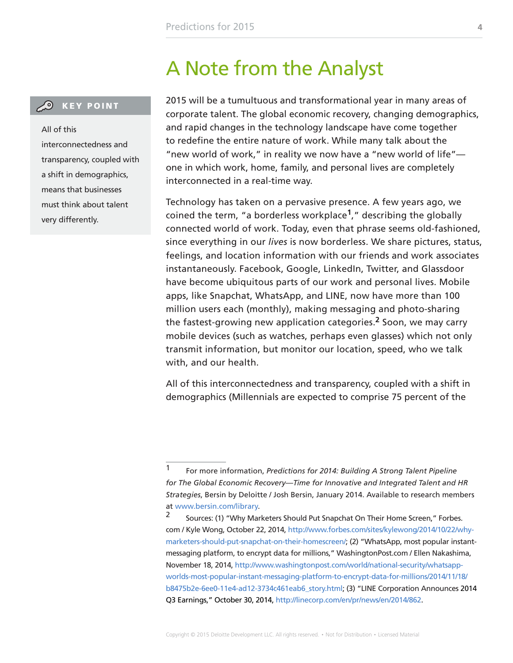## A Note from the Analyst

<span id="page-3-0"></span>**CO** KEY POINT

All of this interconnectedness and transparency, coupled with a shift in demographics, means that businesses must think about talent very differently.

2015 will be a tumultuous and transformational year in many areas of corporate talent. The global economic recovery, changing demographics, and rapid changes in the technology landscape have come together to redefine the entire nature of work. While many talk about the "new world of work," in reality we now have a "new world of life" one in which work, home, family, and personal lives are completely interconnected in a real-time way.

Technology has taken on a pervasive presence. A few years ago, we coined the term, "a borderless workplace**1**," describing the globally connected world of work. Today, even that phrase seems old-fashioned, since everything in our *lives* is now borderless. We share pictures, status, feelings, and location information with our friends and work associates instantaneously. Facebook, Google, LinkedIn, Twitter, and Glassdoor have become ubiquitous parts of our work and personal lives. Mobile apps, like Snapchat, WhatsApp, and LINE, now have more than 100 million users each (monthly), making messaging and photo-sharing the fastest-growing new application categories.**2** Soon, we may carry mobile devices (such as watches, perhaps even glasses) which not only transmit information, but monitor our location, speed, who we talk with, and our health.

All of this interconnectedness and transparency, coupled with a shift in demographics (Millennials are expected to comprise 75 percent of the

<sup>1</sup> For more information, *Predictions for 2014: Building A Strong Talent Pipeline for The Global Economic Recovery—Time for Innovative and Integrated Talent and HR Strategies*, Bersin by Deloitte / Josh Bersin, January 2014. Available to research members at [www.bersin.com/library.](http://www.bersin.com/library)

<sup>&</sup>lt;sup>2</sup> Sources: (1) "Why Marketers Should Put Snapchat On Their Home Screen," Forbes. com / Kyle Wong, October 22, 2014, [http://www.forbes.com/sites/kylewong/2014/10/22/why](http://www.forbes.com/sites/kylewong/2014/10/22/why-marketers-should-put-snapchat-on-their-homescreen/)[marketers-should-put-snapchat-on-their-homescreen/;](http://www.forbes.com/sites/kylewong/2014/10/22/why-marketers-should-put-snapchat-on-their-homescreen/) (2) "WhatsApp, most popular instantmessaging platform, to encrypt data for millions," WashingtonPost.com / Ellen Nakashima, November 18, 2014, [http://www.washingtonpost.com/world/national-security/whatsapp](http://www.washingtonpost.com/world/national-security/whatsapp-worlds-most-popular-instant-messaging-platform-to-encrypt-data-for-millions/2014/11/18/b8475b2e-6ee0-11e4-ad12-3734c461eab6_story.html)[worlds-most-popular-instant-messaging-platform-to-encrypt-data-for-millions/2014/11/18/](http://www.washingtonpost.com/world/national-security/whatsapp-worlds-most-popular-instant-messaging-platform-to-encrypt-data-for-millions/2014/11/18/b8475b2e-6ee0-11e4-ad12-3734c461eab6_story.html) [b8475b2e-6ee0-11e4-ad12-3734c461eab6\\_story.html;](http://www.washingtonpost.com/world/national-security/whatsapp-worlds-most-popular-instant-messaging-platform-to-encrypt-data-for-millions/2014/11/18/b8475b2e-6ee0-11e4-ad12-3734c461eab6_story.html) (3) "LINE Corporation Announces 2014 Q3 Earnings," October 30, 2014, [http://linecorp.com/en/pr/news/en/2014/862.](http://linecorp.com/en/pr/news/en/2014/862)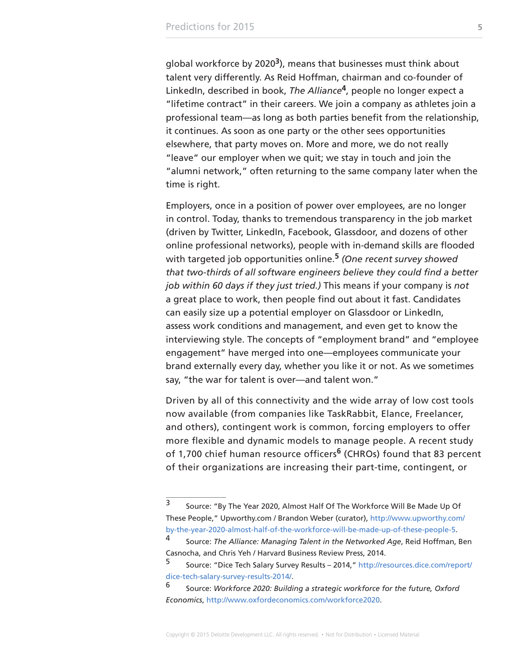global workforce by 2020**3**), means that businesses must think about talent very differently. As Reid Hoffman, chairman and co-founder of LinkedIn, described in book, *The Alliance***4**, people no longer expect a "lifetime contract" in their careers. We join a company as athletes join a professional team—as long as both parties benefit from the relationship, it continues. As soon as one party or the other sees opportunities elsewhere, that party moves on. More and more, we do not really "leave" our employer when we quit; we stay in touch and join the "alumni network," often returning to the same company later when the time is right.

Employers, once in a position of power over employees, are no longer in control. Today, thanks to tremendous transparency in the job market (driven by Twitter, LinkedIn, Facebook, Glassdoor, and dozens of other online professional networks), people with in-demand skills are flooded with targeted job opportunities online.**<sup>5</sup>** *(One recent survey showed that two-thirds of all software engineers believe they could find a better job within 60 days if they just tried.)* This means if your company is *not* a great place to work, then people find out about it fast. Candidates can easily size up a potential employer on Glassdoor or LinkedIn, assess work conditions and management, and even get to know the interviewing style. The concepts of "employment brand" and "employee engagement" have merged into one—employees communicate your brand externally every day, whether you like it or not. As we sometimes say, "the war for talent is over—and talent won."

Driven by all of this connectivity and the wide array of low cost tools now available (from companies like TaskRabbit, Elance, Freelancer, and others), contingent work is common, forcing employers to offer more flexible and dynamic models to manage people. A recent study of 1,700 chief human resource officers**6** (CHROs) found that 83 percent of their organizations are increasing their part-time, contingent, or

<sup>3</sup> Source: "By The Year 2020, Almost Half Of The Workforce Will Be Made Up Of These People," Upworthy.com / Brandon Weber (curator), [http://www.upworthy.com/](http://www.upworthy.com/by-the-year-2020-almost-half-of-the-workforce-will-be-made-up-of-these-people-5) [by-the-year-2020-almost-half-of-the-workforce-will-be-made-up-of-these-people-5.](http://www.upworthy.com/by-the-year-2020-almost-half-of-the-workforce-will-be-made-up-of-these-people-5)

<sup>4</sup> Source: *The Alliance: Managing Talent in the Networked Age*, Reid Hoffman, Ben Casnocha, and Chris Yeh / Harvard Business Review Press, 2014.

<sup>5</sup> Source: "Dice Tech Salary Survey Results – 2014," [http://resources.dice.com/report/](http://resources.dice.com/report/dice-tech-salary-survey-results-2014/) [dice-tech-salary-survey-results-2014/](http://resources.dice.com/report/dice-tech-salary-survey-results-2014/).

<sup>6</sup> Source: *Workforce 2020: Building a strategic workforce for the future, Oxford Economics*, [http://www.oxfordeconomics.com/workforce2020.](http://www.oxfordeconomics.com/workforce2020)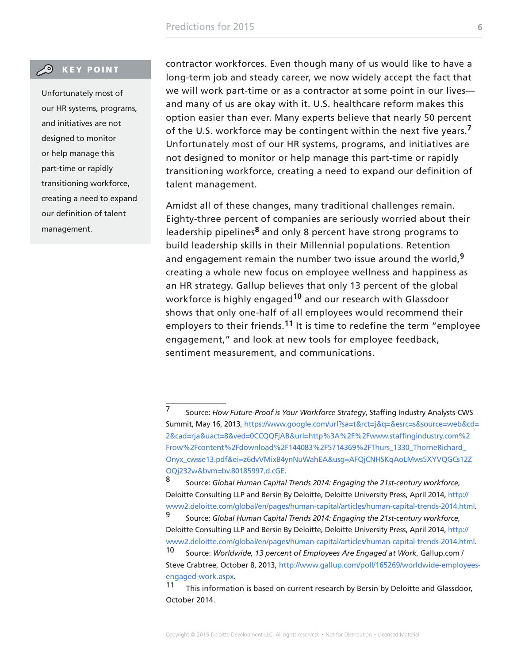#### **CO** KEY POINT

Unfortunately most of our HR systems, programs, and initiatives are not designed to monitor or help manage this part-time or rapidly transitioning workforce, creating a need to expand our definition of talent management.

contractor workforces. Even though many of us would like to have a long-term job and steady career, we now widely accept the fact that we will work part-time or as a contractor at some point in our lives and many of us are okay with it. U.S. healthcare reform makes this option easier than ever. Many experts believe that nearly 50 percent of the U.S. workforce may be contingent within the next five years.**<sup>7</sup>** Unfortunately most of our HR systems, programs, and initiatives are not designed to monitor or help manage this part-time or rapidly transitioning workforce, creating a need to expand our definition of talent management.

Amidst all of these changes, many traditional challenges remain. Eighty-three percent of companies are seriously worried about their leadership pipelines**8** and only 8 percent have strong programs to build leadership skills in their Millennial populations. Retention and engagement remain the number two issue around the world,**<sup>9</sup>** creating a whole new focus on employee wellness and happiness as an HR strategy. Gallup believes that only 13 percent of the global workforce is highly engaged**10** and our research with Glassdoor shows that only one-half of all employees would recommend their employers to their friends.**11** It is time to redefine the term "employee engagement," and look at new tools for employee feedback, sentiment measurement, and communications.

<sup>7</sup> Source: *How Future-Proof is Your Workforce Strategy*, Staffing Industry Analysts-CWS Summit, May 16, 2013, [https://www.google.com/url?sa=t&rct=j&q=&esrc=s&source=web&cd=](https://www.google.com/url?sa=t&rct=j&q=&esrc=s&source=web&cd=2&cad=rja&uact=8&ved=0CCQQFjAB&url=http%3A%2F%2Fwww.staffingindustry.com%2Frow%2Fcontent%2Fdownload%2F144083%2F5714369%2FThurs_1330_ThorneRichard_Onyx_cwsse13.pdf&ei=z6dvVMixB4ynNuWahEA&usg=AFQjCNHSKqAoLMws5XYVQGCs12ZOQj232w&bvm=bv.80185997,d.cGE) [2&cad=rja&uact=8&ved=0CCQQFjAB&url=http%3A%2F%2Fwww.staffingindustry.com%2](https://www.google.com/url?sa=t&rct=j&q=&esrc=s&source=web&cd=2&cad=rja&uact=8&ved=0CCQQFjAB&url=http%3A%2F%2Fwww.staffingindustry.com%2Frow%2Fcontent%2Fdownload%2F144083%2F5714369%2FThurs_1330_ThorneRichard_Onyx_cwsse13.pdf&ei=z6dvVMixB4ynNuWahEA&usg=AFQjCNHSKqAoLMws5XYVQGCs12ZOQj232w&bvm=bv.80185997,d.cGE) [Frow%2Fcontent%2Fdownload%2F144083%2F5714369%2FThurs\\_1330\\_ThorneRichard\\_](https://www.google.com/url?sa=t&rct=j&q=&esrc=s&source=web&cd=2&cad=rja&uact=8&ved=0CCQQFjAB&url=http%3A%2F%2Fwww.staffingindustry.com%2Frow%2Fcontent%2Fdownload%2F144083%2F5714369%2FThurs_1330_ThorneRichard_Onyx_cwsse13.pdf&ei=z6dvVMixB4ynNuWahEA&usg=AFQjCNHSKqAoLMws5XYVQGCs12ZOQj232w&bvm=bv.80185997,d.cGE) [Onyx\\_cwsse13.pdf&ei=z6dvVMixB4ynNuWahEA&usg=AFQjCNHSKqAoLMws5XYVQGCs12Z](https://www.google.com/url?sa=t&rct=j&q=&esrc=s&source=web&cd=2&cad=rja&uact=8&ved=0CCQQFjAB&url=http%3A%2F%2Fwww.staffingindustry.com%2Frow%2Fcontent%2Fdownload%2F144083%2F5714369%2FThurs_1330_ThorneRichard_Onyx_cwsse13.pdf&ei=z6dvVMixB4ynNuWahEA&usg=AFQjCNHSKqAoLMws5XYVQGCs12ZOQj232w&bvm=bv.80185997,d.cGE) [OQj232w&bvm=bv.80185997,d.cGE.](https://www.google.com/url?sa=t&rct=j&q=&esrc=s&source=web&cd=2&cad=rja&uact=8&ved=0CCQQFjAB&url=http%3A%2F%2Fwww.staffingindustry.com%2Frow%2Fcontent%2Fdownload%2F144083%2F5714369%2FThurs_1330_ThorneRichard_Onyx_cwsse13.pdf&ei=z6dvVMixB4ynNuWahEA&usg=AFQjCNHSKqAoLMws5XYVQGCs12ZOQj232w&bvm=bv.80185997,d.cGE)

<sup>8</sup> Source: *Global Human Capital Trends 2014: Engaging the 21st-century workforce*, Deloitte Consulting LLP and Bersin By Deloitte, Deloitte University Press, April 2014, [http://](http://www2.deloitte.com/global/en/pages/human-capital/articles/human-capital-trends-2014.html) [www2.deloitte.com/global/en/pages/human-capital/articles/human-capital-trends-2014.html.](http://www2.deloitte.com/global/en/pages/human-capital/articles/human-capital-trends-2014.html)

<sup>9</sup> Source: *Global Human Capital Trends 2014: Engaging the 21st-century workforce*, Deloitte Consulting LLP and Bersin By Deloitte, Deloitte University Press, April 2014, [http://](http://www2.deloitte.com/global/en/pages/human-capital/articles/human-capital-trends-2014.html) [www2.deloitte.com/global/en/pages/human-capital/articles/human-capital-trends-2014.html.](http://www2.deloitte.com/global/en/pages/human-capital/articles/human-capital-trends-2014.html)

<sup>10</sup> Source: *Worldwide, 13 percent of Employees Are Engaged at Work*, Gallup.com / Steve Crabtree, October 8, 2013, [http://www.gallup.com/poll/165269/worldwide-employees](http://www.gallup.com/poll/165269/worldwide-employees-engaged-work.aspx)[engaged-work.aspx.](http://www.gallup.com/poll/165269/worldwide-employees-engaged-work.aspx)

<sup>11</sup> This information is based on current research by Bersin by Deloitte and Glassdoor, October 2014.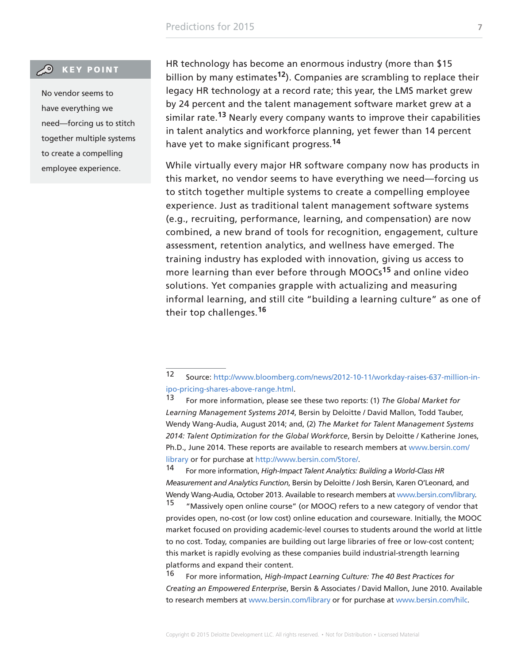#### **CO** KEY POINT

No vendor seems to have everything we need—forcing us to stitch together multiple systems to create a compelling employee experience.

HR technology has become an enormous industry (more than \$15 billion by many estimates**12**). Companies are scrambling to replace their legacy HR technology at a record rate; this year, the LMS market grew by 24 percent and the talent management software market grew at a similar rate.**13** Nearly every company wants to improve their capabilities in talent analytics and workforce planning, yet fewer than 14 percent have yet to make significant progress.**<sup>14</sup>**

While virtually every major HR software company now has products in this market, no vendor seems to have everything we need—forcing us to stitch together multiple systems to create a compelling employee experience. Just as traditional talent management software systems (e.g., recruiting, performance, learning, and compensation) are now combined, a new brand of tools for recognition, engagement, culture assessment, retention analytics, and wellness have emerged. The training industry has exploded with innovation, giving us access to more learning than ever before through MOOCs**15** and online video solutions. Yet companies grapple with actualizing and measuring informal learning, and still cite "building a learning culture" as one of their top challenges.**<sup>16</sup>**

14 For more information, *High-Impact Talent Analytics: Building a World-Class HR Measurement and Analytics Function*, Bersin by Deloitte / Josh Bersin, Karen O'Leonard, and Wendy Wang-Audia, October 2013. Available to research members at [www.bersin.com/library.](http://www.bersin.com/library)

"Massively open online course" (or MOOC) refers to a new category of vendor that provides open, no-cost (or low cost) online education and courseware. Initially, the MOOC market focused on providing academic-level courses to students around the world at little to no cost. Today, companies are building out large libraries of free or low-cost content; this market is rapidly evolving as these companies build industrial-strength learning platforms and expand their content.

16 For more information, *High-Impact Learning Culture: The 40 Best Practices for Creating an Empowered Enterprise*, Bersin & Associates / David Mallon, June 2010. Available to research members at [www.bersin.com/library](http://www.bersin.com/library) or for purchase at [www.bersin.com/hilc](http://www.bersin.com/hilc).

<sup>12</sup> Source: [http://www.bloomberg.com/news/2012-10-11/workday-raises-637-million-in](http://www.bloomberg.com/news/2012-10-11/workday-raises-637-million-in-ipo-pricing-shares-above-range.html)[ipo-pricing-shares-above-range.html.](http://www.bloomberg.com/news/2012-10-11/workday-raises-637-million-in-ipo-pricing-shares-above-range.html)

For more information, please see these two reports: (1) *The Global Market for Learning Management Systems 2014*, Bersin by Deloitte / David Mallon, Todd Tauber, Wendy Wang-Audia, August 2014; and, (2) *The Market for Talent Management Systems 2014: Talent Optimization for the Global Workforce*, Bersin by Deloitte / Katherine Jones, Ph.D., June 2014. These reports are available to research members at [www.bersin.com/](http://www.bersin.com/library) [library](http://www.bersin.com/library) or for purchase at [http://www.bersin.com/Store/.](http://www.bersin.com/Store/)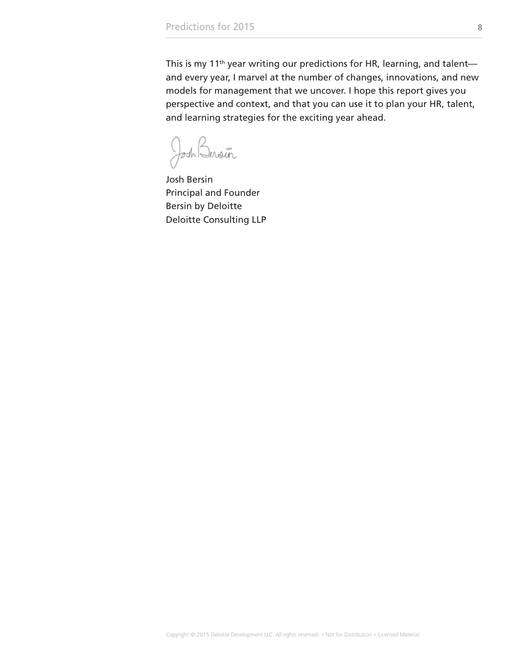This is my 11<sup>th</sup> year writing our predictions for HR, learning, and talentand every year, I marvel at the number of changes, innovations, and new models for management that we uncover. I hope this report gives you perspective and context, and that you can use it to plan your HR, talent, and learning strategies for the exciting year ahead.

Josh Bersin

Josh Bersin Principal and Founder Bersin by Deloitte Deloitte Consulting LLP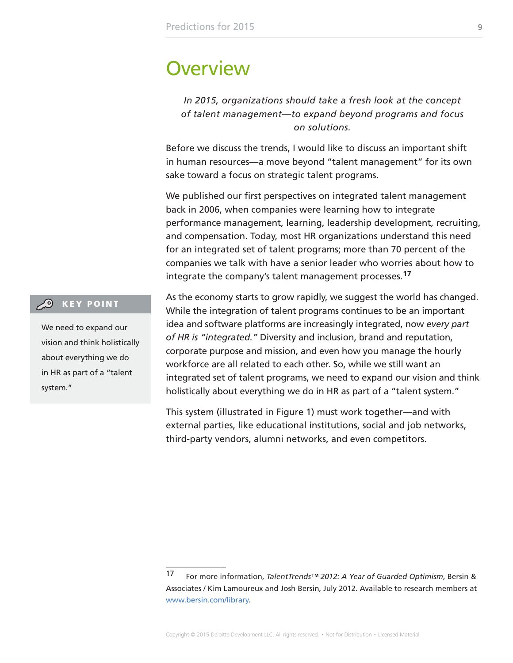### <span id="page-8-0"></span>**Overview**

*In 2015, organizations should take a fresh look at the concept of talent management—to expand beyond programs and focus on solutions.*

Before we discuss the trends, I would like to discuss an important shift in human resources—a move beyond "talent management" for its own sake toward a focus on strategic talent programs.

We published our first perspectives on integrated talent management back in 2006, when companies were learning how to integrate performance management, learning, leadership development, recruiting, and compensation. Today, most HR organizations understand this need for an integrated set of talent programs; more than 70 percent of the companies we talk with have a senior leader who worries about how to integrate the company's talent management processes.**<sup>17</sup>**

#### **CO** KEY POINT

We need to expand our vision and think holistically about everything we do in HR as part of a "talent system."

As the economy starts to grow rapidly, we suggest the world has changed. While the integration of talent programs continues to be an important idea and software platforms are increasingly integrated, now *every part of HR is "integrated."* Diversity and inclusion, brand and reputation, corporate purpose and mission, and even how you manage the hourly workforce are all related to each other. So, while we still want an integrated set of talent programs, we need to expand our vision and think holistically about everything we do in HR as part of a "talent system."

This system (illustrated in Figure 1) must work together—and with external parties, like educational institutions, social and job networks, third-party vendors, alumni networks, and even competitors.

<sup>17</sup> For more information, *TalentTrends™ 2012: A Year of Guarded Optimism*, Bersin & Associates / Kim Lamoureux and Josh Bersin, July 2012. Available to research members at [www.bersin.com/library.](http://www.bersin.com/library)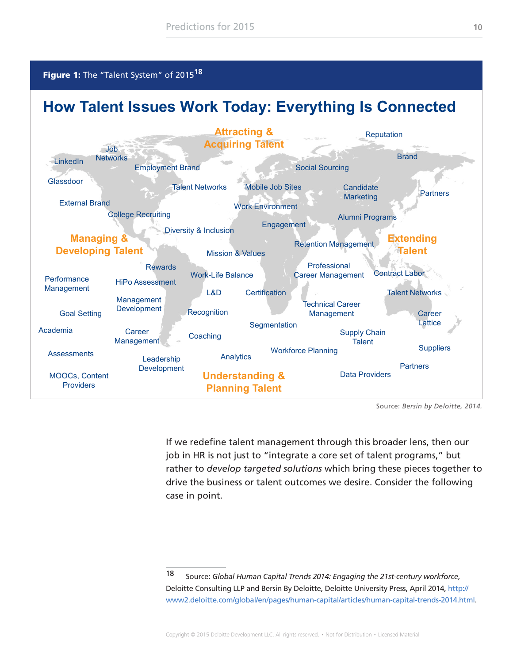<span id="page-9-0"></span>

### **How Talent Issues Work Today: Everything Is Connected**



Source: *Bersin by Deloitte, 2014.*

If we redefine talent management through this broader lens, then our job in HR is not just to "integrate a core set of talent programs," but rather to *develop targeted solutions* which bring these pieces together to drive the business or talent outcomes we desire. Consider the following case in point.

<sup>18</sup> Source: *Global Human Capital Trends 2014: Engaging the 21st-century workforce*, Deloitte Consulting LLP and Bersin By Deloitte, Deloitte University Press, April 2014, [http://](http://www2.deloitte.com/global/en/pages/human-capital/articles/human-capital-trends-2014.html) [www2.deloitte.com/global/en/pages/human-capital/articles/human-capital-trends-2014.html.](http://www2.deloitte.com/global/en/pages/human-capital/articles/human-capital-trends-2014.html)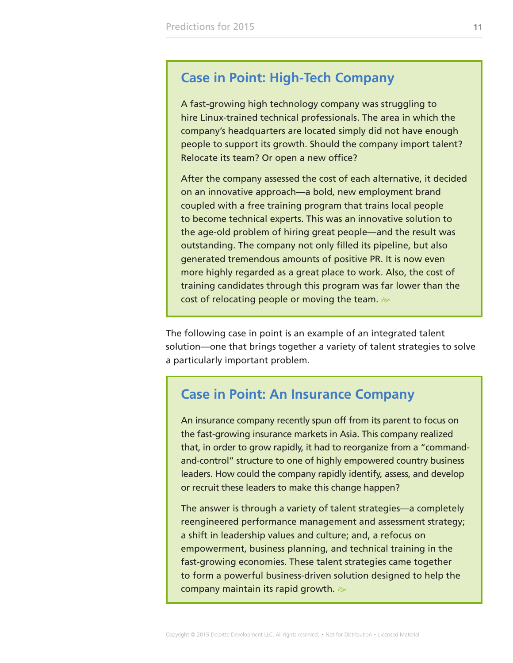### **Case in Point: High-Tech Company**

A fast-growing high technology company was struggling to hire Linux-trained technical professionals. The area in which the company's headquarters are located simply did not have enough people to support its growth. Should the company import talent? Relocate its team? Or open a new office?

After the company assessed the cost of each alternative, it decided on an innovative approach—a bold, new employment brand coupled with a free training program that trains local people to become technical experts. This was an innovative solution to the age-old problem of hiring great people—and the result was outstanding. The company not only filled its pipeline, but also generated tremendous amounts of positive PR. It is now even more highly regarded as a great place to work. Also, the cost of training candidates through this program was far lower than the cost of relocating people or moving the team.  $\gg$ 

The following case in point is an example of an integrated talent solution—one that brings together a variety of talent strategies to solve a particularly important problem.

### **Case in Point: An Insurance Company**

An insurance company recently spun off from its parent to focus on the fast-growing insurance markets in Asia. This company realized that, in order to grow rapidly, it had to reorganize from a "commandand-control" structure to one of highly empowered country business leaders. How could the company rapidly identify, assess, and develop or recruit these leaders to make this change happen?

The answer is through a variety of talent strategies—a completely reengineered performance management and assessment strategy; a shift in leadership values and culture; and, a refocus on empowerment, business planning, and technical training in the fast-growing economies. These talent strategies came together to form a powerful business-driven solution designed to help the company maintain its rapid growth.  $\gg$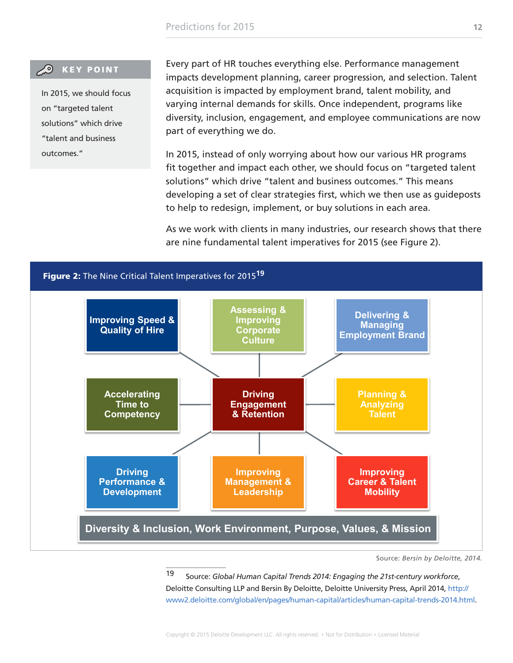#### <span id="page-11-0"></span>**CO** KEY POINT

In 2015, we should focus on "targeted talent solutions" which drive "talent and business outcomes."

Every part of HR touches everything else. Performance management impacts development planning, career progression, and selection. Talent acquisition is impacted by employment brand, talent mobility, and varying internal demands for skills. Once independent, programs like diversity, inclusion, engagement, and employee communications are now part of everything we do.

In 2015, instead of only worrying about how our various HR programs fit together and impact each other, we should focus on "targeted talent solutions" which drive "talent and business outcomes." This means developing a set of clear strategies first, which we then use as guideposts to help to redesign, implement, or buy solutions in each area.

As we work with clients in many industries, our research shows that there are nine fundamental talent imperatives for 2015 (see Figure 2).



Source: *Bersin by Deloitte, 2014.*

19 Source: *Global Human Capital Trends 2014: Engaging the 21st-century workforce*, Deloitte Consulting LLP and Bersin By Deloitte, Deloitte University Press, April 2014, [http://](http://www2.deloitte.com/global/en/pages/human-capital/articles/human-capital-trends-2014.html) [www2.deloitte.com/global/en/pages/human-capital/articles/human-capital-trends-2014.html.](http://www2.deloitte.com/global/en/pages/human-capital/articles/human-capital-trends-2014.html)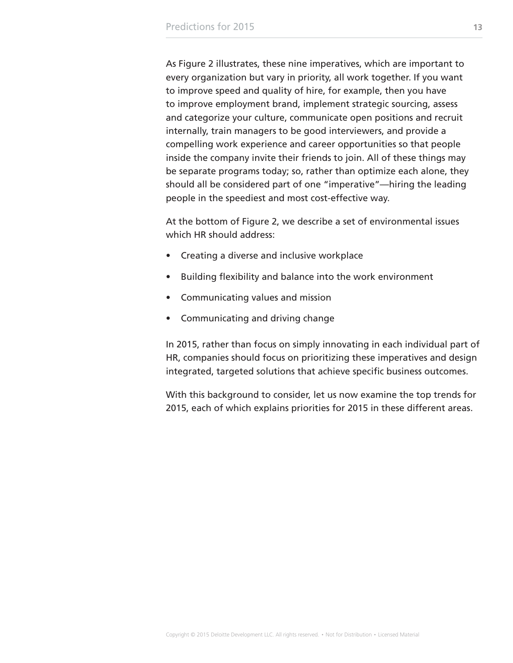As Figure 2 illustrates, these nine imperatives, which are important to every organization but vary in priority, all work together. If you want to improve speed and quality of hire, for example, then you have to improve employment brand, implement strategic sourcing, assess and categorize your culture, communicate open positions and recruit internally, train managers to be good interviewers, and provide a compelling work experience and career opportunities so that people inside the company invite their friends to join. All of these things may be separate programs today; so, rather than optimize each alone, they should all be considered part of one "imperative"—hiring the leading people in the speediest and most cost-effective way.

At the bottom of Figure 2, we describe a set of environmental issues which HR should address:

- Creating a diverse and inclusive workplace
- Building flexibility and balance into the work environment
- Communicating values and mission
- Communicating and driving change

In 2015, rather than focus on simply innovating in each individual part of HR, companies should focus on prioritizing these imperatives and design integrated, targeted solutions that achieve specific business outcomes.

With this background to consider, let us now examine the top trends for 2015, each of which explains priorities for 2015 in these different areas.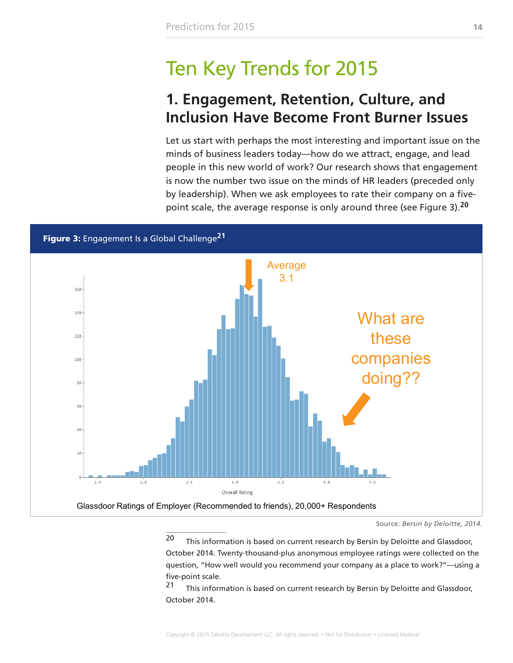# <span id="page-13-0"></span>Ten Key Trends for 2015

### **1. Engagement, Retention, Culture, and Inclusion Have Become Front Burner Issues**

Let us start with perhaps the most interesting and important issue on the minds of business leaders today—how do we attract, engage, and lead people in this new world of work? Our research shows that engagement is now the number two issue on the minds of HR leaders (preceded only by leadership). When we ask employees to rate their company on a fivepoint scale, the average response is only around three (see Figure 3).**<sup>20</sup>**

Figure 3: Engagement Is a Global Challenge**<sup>21</sup>**



Source: *Bersin by Deloitte, 2014.*

20 This information is based on current research by Bersin by Deloitte and Glassdoor, October 2014. Twenty-thousand-plus anonymous employee ratings were collected on the question, "How well would you recommend your company as a place to work?"—using a five-point scale.

21 This information is based on current research by Bersin by Deloitte and Glassdoor, October 2014.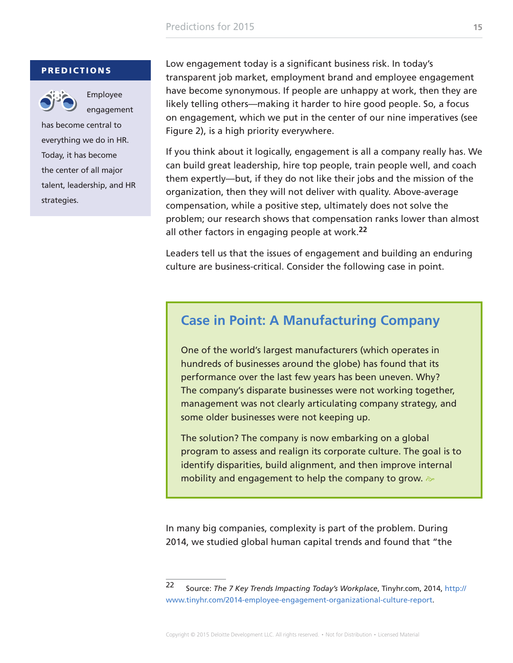#### **PREDICTIONS**



Employee engagement

has become central to everything we do in HR. Today, it has become the center of all major talent, leadership, and HR strategies.

Low engagement today is a significant business risk. In today's transparent job market, employment brand and employee engagement have become synonymous. If people are unhappy at work, then they are likely telling others—making it harder to hire good people. So, a focus on engagement, which we put in the center of our nine imperatives (see Figure 2), is a high priority everywhere.

If you think about it logically, engagement is all a company really has. We can build great leadership, hire top people, train people well, and coach them expertly—but, if they do not like their jobs and the mission of the organization, then they will not deliver with quality. Above-average compensation, while a positive step, ultimately does not solve the problem; our research shows that compensation ranks lower than almost all other factors in engaging people at work.**<sup>22</sup>**

Leaders tell us that the issues of engagement and building an enduring culture are business-critical. Consider the following case in point.

### **Case in Point: A Manufacturing Company**

One of the world's largest manufacturers (which operates in hundreds of businesses around the globe) has found that its performance over the last few years has been uneven. Why? The company's disparate businesses were not working together, management was not clearly articulating company strategy, and some older businesses were not keeping up.

The solution? The company is now embarking on a global program to assess and realign its corporate culture. The goal is to identify disparities, build alignment, and then improve internal mobility and engagement to help the company to grow.  $\gg$ 

In many big companies, complexity is part of the problem. During 2014, we studied global human capital trends and found that "the

<sup>22</sup> Source: *The 7 Key Trends Impacting Today's Workplace*, Tinyhr.com, 2014, [http://](http://www.tinyhr.com/2014-employee-engagement-organizational-culture-report) [www.tinyhr.com/2014-employee-engagement-organizational-culture-report](http://www.tinyhr.com/2014-employee-engagement-organizational-culture-report).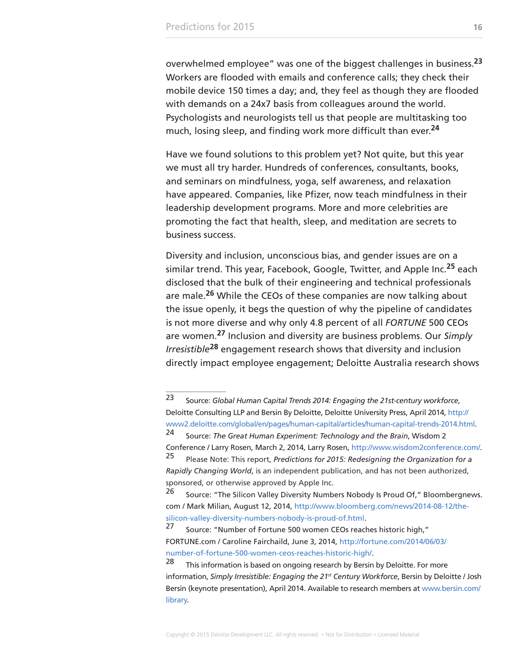overwhelmed employee" was one of the biggest challenges in business.**<sup>23</sup>** Workers are flooded with emails and conference calls; they check their mobile device 150 times a day; and, they feel as though they are flooded with demands on a 24x7 basis from colleagues around the world. Psychologists and neurologists tell us that people are multitasking too much, losing sleep, and finding work more difficult than ever.**<sup>24</sup>**

Have we found solutions to this problem yet? Not quite, but this year we must all try harder. Hundreds of conferences, consultants, books, and seminars on mindfulness, yoga, self awareness, and relaxation have appeared. Companies, like Pfizer, now teach mindfulness in their leadership development programs. More and more celebrities are promoting the fact that health, sleep, and meditation are secrets to business success.

Diversity and inclusion, unconscious bias, and gender issues are on a similar trend. This year, Facebook, Google, Twitter, and Apple Inc.**25** each disclosed that the bulk of their engineering and technical professionals are male.**26** While the CEOs of these companies are now talking about the issue openly, it begs the question of why the pipeline of candidates is not more diverse and why only 4.8 percent of all *FORTUNE* 500 CEOs are women.**27** Inclusion and diversity are business problems. Our *Simply Irresistible***28** engagement research shows that diversity and inclusion directly impact employee engagement; Deloitte Australia research shows

<sup>23</sup> Source: *Global Human Capital Trends 2014: Engaging the 21st-century workforce*, Deloitte Consulting LLP and Bersin By Deloitte, Deloitte University Press, April 2014, [http://](http://www2.deloitte.com/global/en/pages/human-capital/articles/human-capital-trends-2014.html) [www2.deloitte.com/global/en/pages/human-capital/articles/human-capital-trends-2014.html.](http://www2.deloitte.com/global/en/pages/human-capital/articles/human-capital-trends-2014.html)

<sup>24</sup> Source: *The Great Human Experiment: Technology and the Brain*, Wisdom 2 Conference / Larry Rosen, March 2, 2014, Larry Rosen, <http://www.wisdom2conference.com/>. <sup>25</sup> Please Note: This report, *Predictions for 2015: Redesigning the Organization for a* 

*Rapidly Changing World*, is an independent publication, and has not been authorized, sponsored, or otherwise approved by Apple Inc.

<sup>&</sup>lt;sup>26</sup> Source: "The Silicon Valley Diversity Numbers Nobody Is Proud Of," Bloombergnews. com / Mark Milian, August 12, 2014, [http://www.bloomberg.com/news/2014-08-12/the](http://www.bloomberg.com/news/2014-08-12/the-silicon-valley-diversity-numbers-nobody-is-proud-of.html)[silicon-valley-diversity-numbers-nobody-is-proud-of.html](http://www.bloomberg.com/news/2014-08-12/the-silicon-valley-diversity-numbers-nobody-is-proud-of.html).

<sup>&</sup>lt;sup>27</sup> Source: "Number of Fortune 500 women CEOs reaches historic high," FORTUNE.com / Caroline Fairchaild, June 3, 2014, [http://fortune.com/2014/06/03/](http://fortune.com/2014/06/03/number-of-fortune-500-women-ceos-reaches-historic-high/) [number-of-fortune-500-women-ceos-reaches-historic-high/.](http://fortune.com/2014/06/03/number-of-fortune-500-women-ceos-reaches-historic-high/)

<sup>&</sup>lt;sup>28</sup> This information is based on ongoing research by Bersin by Deloitte. For more information, *Simply Irresistible: Engaging the 21st Century Workforce*, Bersin by Deloitte / Josh Bersin (keynote presentation), April 2014. Available to research members at [www.bersin.com/](http://www.bersin.com/library) [library](http://www.bersin.com/library).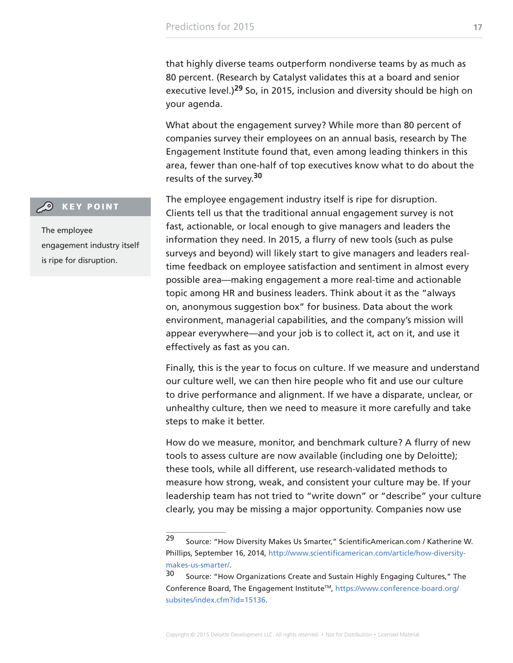that highly diverse teams outperform nondiverse teams by as much as 80 percent. (Research by Catalyst validates this at a board and senior executive level.)**29** So, in 2015, inclusion and diversity should be high on your agenda.

What about the engagement survey? While more than 80 percent of companies survey their employees on an annual basis, research by The Engagement Institute found that, even among leading thinkers in this area, fewer than one-half of top executives know what to do about the results of the survey.**<sup>30</sup>**

The employee engagement industry itself is ripe for disruption. Clients tell us that the traditional annual engagement survey is not fast, actionable, or local enough to give managers and leaders the information they need. In 2015, a flurry of new tools (such as pulse surveys and beyond) will likely start to give managers and leaders realtime feedback on employee satisfaction and sentiment in almost every possible area—making engagement a more real-time and actionable topic among HR and business leaders. Think about it as the "always on, anonymous suggestion box" for business. Data about the work environment, managerial capabilities, and the company's mission will appear everywhere—and your job is to collect it, act on it, and use it effectively as fast as you can.

Finally, this is the year to focus on culture. If we measure and understand our culture well, we can then hire people who fit and use our culture to drive performance and alignment. If we have a disparate, unclear, or unhealthy culture, then we need to measure it more carefully and take steps to make it better.

How do we measure, monitor, and benchmark culture? A flurry of new tools to assess culture are now available (including one by Deloitte); these tools, while all different, use research-validated methods to measure how strong, weak, and consistent your culture may be. If your leadership team has not tried to "write down" or "describe" your culture clearly, you may be missing a major opportunity. Companies now use

#### **CO** KEY POINT

The employee engagement industry itself is ripe for disruption.

<sup>29</sup> Source: "How Diversity Makes Us Smarter," ScientificAmerican.com / Katherine W. Phillips, September 16, 2014, [http://www.scientificamerican.com/article/how-diversity](http://www.scientificamerican.com/article/how-diversity-makes-us-smarter/)[makes-us-smarter/](http://www.scientificamerican.com/article/how-diversity-makes-us-smarter/).

<sup>30</sup> Source: "How Organizations Create and Sustain Highly Engaging Cultures," The Conference Board, The Engagement InstituteTM, [https://www.conference-board.org/](https://www.conference-board.org/subsites/index.cfm?id=15136) [subsites/index.cfm?id=15136.](https://www.conference-board.org/subsites/index.cfm?id=15136)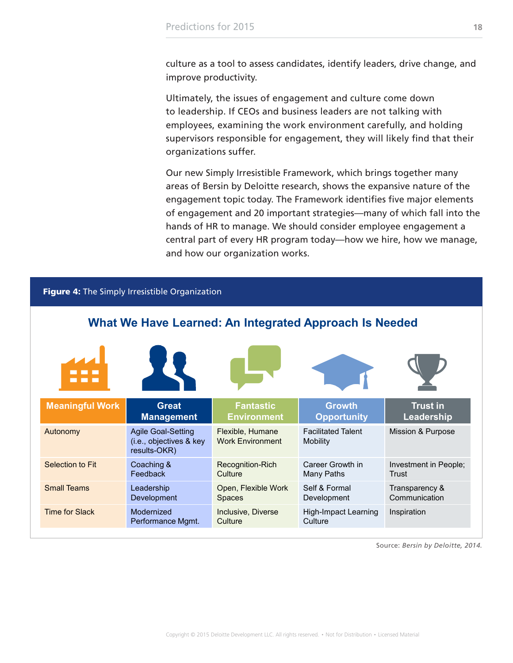<span id="page-17-0"></span>culture as a tool to assess candidates, identify leaders, drive change, and improve productivity.

Ultimately, the issues of engagement and culture come down to leadership. If CEOs and business leaders are not talking with employees, examining the work environment carefully, and holding supervisors responsible for engagement, they will likely find that their organizations suffer.

Our new Simply Irresistible Framework, which brings together many areas of Bersin by Deloitte research, shows the expansive nature of the engagement topic today. The Framework identifies five major elements of engagement and 20 important strategies—many of which fall into the hands of HR to manage. We should consider employee engagement a central part of every HR program today—how we hire, how we manage, and how our organization works.

| Figure 4: The Simply Irresistible Organization         |                                                                      |                                             |                                        |                                 |  |  |
|--------------------------------------------------------|----------------------------------------------------------------------|---------------------------------------------|----------------------------------------|---------------------------------|--|--|
| What We Have Learned: An Integrated Approach Is Needed |                                                                      |                                             |                                        |                                 |  |  |
|                                                        |                                                                      |                                             |                                        |                                 |  |  |
| <b>Meaningful Work</b>                                 | <b>Great</b><br><b>Management</b>                                    | <b>Fantastic</b><br><b>Environment</b>      | <b>Growth</b><br><b>Opportunity</b>    | <b>Trust in</b><br>Leadership   |  |  |
| Autonomy                                               | <b>Agile Goal-Setting</b><br>(i.e., objectives & key<br>results-OKR) | Flexible, Humane<br><b>Work Environment</b> | <b>Facilitated Talent</b><br>Mobility  | Mission & Purpose               |  |  |
| Selection to Fit                                       | Coaching &<br>Feedback                                               | Recognition-Rich<br>Culture                 | Career Growth in<br>Many Paths         | Investment in People;<br>Trust  |  |  |
| <b>Small Teams</b>                                     | Leadership<br>Development                                            | Open, Flexible Work<br><b>Spaces</b>        | Self & Formal<br>Development           | Transparency &<br>Communication |  |  |
| <b>Time for Slack</b>                                  | Modernized<br>Performance Mgmt.                                      | Inclusive, Diverse<br>Culture               | <b>High-Impact Learning</b><br>Culture | Inspiration                     |  |  |

Source: *Bersin by Deloitte, 2014.*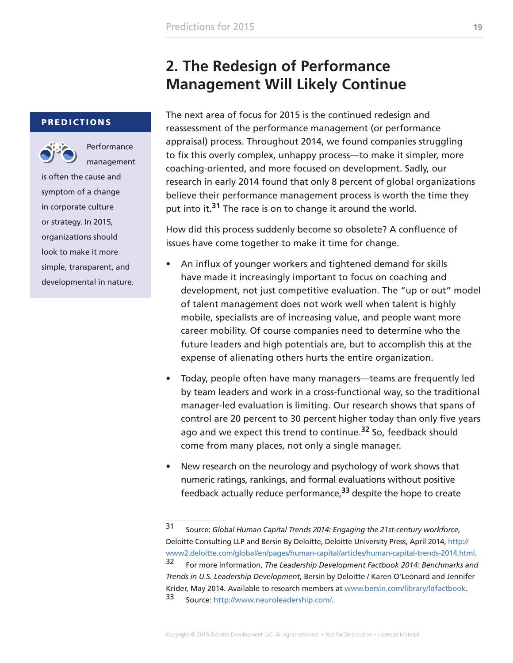### **2. The Redesign of Performance Management Will Likely Continue**

#### <span id="page-18-0"></span>PREDICTIONS



**Performance** management

is often the cause and symptom of a change in corporate culture or strategy. In 2015, organizations should look to make it more simple, transparent, and developmental in nature. The next area of focus for 2015 is the continued redesign and reassessment of the performance management (or performance appraisal) process. Throughout 2014, we found companies struggling to fix this overly complex, unhappy process—to make it simpler, more coaching-oriented, and more focused on development. Sadly, our research in early 2014 found that only 8 percent of global organizations believe their performance management process is worth the time they put into it.**31** The race is on to change it around the world.

How did this process suddenly become so obsolete? A confluence of issues have come together to make it time for change.

- An influx of younger workers and tightened demand for skills have made it increasingly important to focus on coaching and development, not just competitive evaluation. The "up or out" model of talent management does not work well when talent is highly mobile, specialists are of increasing value, and people want more career mobility. Of course companies need to determine who the future leaders and high potentials are, but to accomplish this at the expense of alienating others hurts the entire organization.
- Today, people often have many managers—teams are frequently led by team leaders and work in a cross-functional way, so the traditional manager-led evaluation is limiting. Our research shows that spans of control are 20 percent to 30 percent higher today than only five years ago and we expect this trend to continue.**32** So, feedback should come from many places, not only a single manager.
- New research on the neurology and psychology of work shows that numeric ratings, rankings, and formal evaluations without positive feedback actually reduce performance,**33** despite the hope to create

<sup>31</sup> Source: *Global Human Capital Trends 2014: Engaging the 21st-century workforce*, Deloitte Consulting LLP and Bersin By Deloitte, Deloitte University Press, April 2014, [http://](http://www2.deloitte.com/global/en/pages/human-capital/articles/human-capital-trends-2014.html) [www2.deloitte.com/global/en/pages/human-capital/articles/human-capital-trends-2014.html.](http://www2.deloitte.com/global/en/pages/human-capital/articles/human-capital-trends-2014.html) 32 For more information, *The Leadership Development Factbook 2014: Benchmarks and Trends in U.S. Leadership Development*, Bersin by Deloitte / Karen O'Leonard and Jennifer Krider, May 2014. Available to research members at [www.bersin.com/library/ldfactbook.](http://www.bersin.com/library/ldfactbook)

<sup>33</sup> Source:<http://www.neuroleadership.com/>.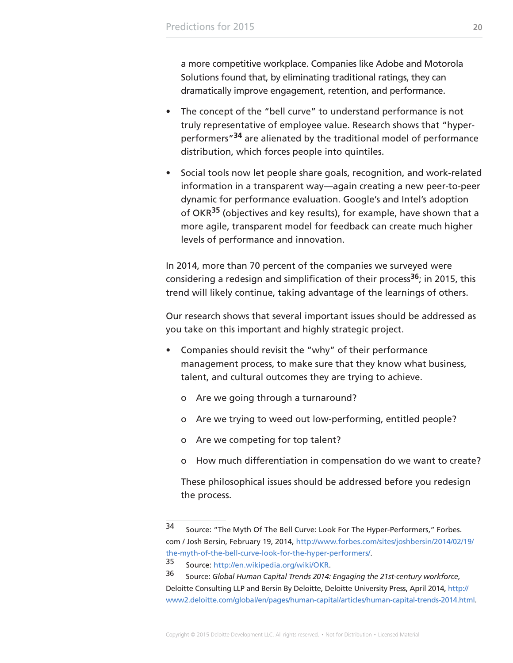a more competitive workplace. Companies like Adobe and Motorola Solutions found that, by eliminating traditional ratings, they can dramatically improve engagement, retention, and performance.

- The concept of the "bell curve" to understand performance is not truly representative of employee value. Research shows that "hyperperformers"**34** are alienated by the traditional model of performance distribution, which forces people into quintiles.
- Social tools now let people share goals, recognition, and work-related information in a transparent way—again creating a new peer-to-peer dynamic for performance evaluation. Google's and Intel's adoption of OKR**35** (objectives and key results), for example, have shown that a more agile, transparent model for feedback can create much higher levels of performance and innovation.

In 2014, more than 70 percent of the companies we surveyed were considering a redesign and simplification of their process**36**; in 2015, this trend will likely continue, taking advantage of the learnings of others.

Our research shows that several important issues should be addressed as you take on this important and highly strategic project.

- Companies should revisit the "why" of their performance management process, to make sure that they know what business, talent, and cultural outcomes they are trying to achieve.
	- o Are we going through a turnaround?
	- o Are we trying to weed out low-performing, entitled people?
	- o Are we competing for top talent?
	- o How much differentiation in compensation do we want to create?

These philosophical issues should be addressed before you redesign the process.

<sup>34</sup> Source: "The Myth Of The Bell Curve: Look For The Hyper-Performers," Forbes. com / Josh Bersin, February 19, 2014, [http://www.forbes.com/sites/joshbersin/2014/02/19/](http://www.forbes.com/sites/joshbersin/2014/02/19/the-myth-of-the-bell-curve-look-for-the-hyper-performers/) [the-myth-of-the-bell-curve-look-for-the-hyper-performers/](http://www.forbes.com/sites/joshbersin/2014/02/19/the-myth-of-the-bell-curve-look-for-the-hyper-performers/).

<sup>35</sup> Source: [http://en.wikipedia.org/wiki/OKR.](http://en.wikipedia.org/wiki/OKR)

<sup>36</sup> Source: *Global Human Capital Trends 2014: Engaging the 21st-century workforce*, Deloitte Consulting LLP and Bersin By Deloitte, Deloitte University Press, April 2014, [http://](http://www2.deloitte.com/global/en/pages/human-capital/articles/human-capital-trends-2014.html) [www2.deloitte.com/global/en/pages/human-capital/articles/human-capital-trends-2014.html.](http://www2.deloitte.com/global/en/pages/human-capital/articles/human-capital-trends-2014.html)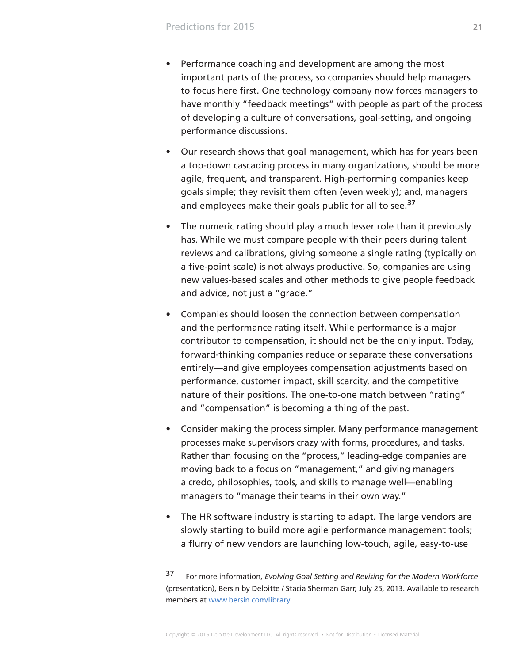- Performance coaching and development are among the most important parts of the process, so companies should help managers to focus here first. One technology company now forces managers to have monthly "feedback meetings" with people as part of the process of developing a culture of conversations, goal-setting, and ongoing performance discussions.
- Our research shows that goal management, which has for years been a top-down cascading process in many organizations, should be more agile, frequent, and transparent. High-performing companies keep goals simple; they revisit them often (even weekly); and, managers and employees make their goals public for all to see.**<sup>37</sup>**
- The numeric rating should play a much lesser role than it previously has. While we must compare people with their peers during talent reviews and calibrations, giving someone a single rating (typically on a five-point scale) is not always productive. So, companies are using new values-based scales and other methods to give people feedback and advice, not just a "grade."
- Companies should loosen the connection between compensation and the performance rating itself. While performance is a major contributor to compensation, it should not be the only input. Today, forward-thinking companies reduce or separate these conversations entirely—and give employees compensation adjustments based on performance, customer impact, skill scarcity, and the competitive nature of their positions. The one-to-one match between "rating" and "compensation" is becoming a thing of the past.
- Consider making the process simpler. Many performance management processes make supervisors crazy with forms, procedures, and tasks. Rather than focusing on the "process," leading-edge companies are moving back to a focus on "management," and giving managers a credo, philosophies, tools, and skills to manage well—enabling managers to "manage their teams in their own way."
- The HR software industry is starting to adapt. The large vendors are slowly starting to build more agile performance management tools; a flurry of new vendors are launching low-touch, agile, easy-to-use

<sup>37</sup> For more information, *Evolving Goal Setting and Revising for the Modern Workforce* (presentation), Bersin by Deloitte / Stacia Sherman Garr, July 25, 2013. Available to research members at [www.bersin.com/library.](http://www.bersin.com/library)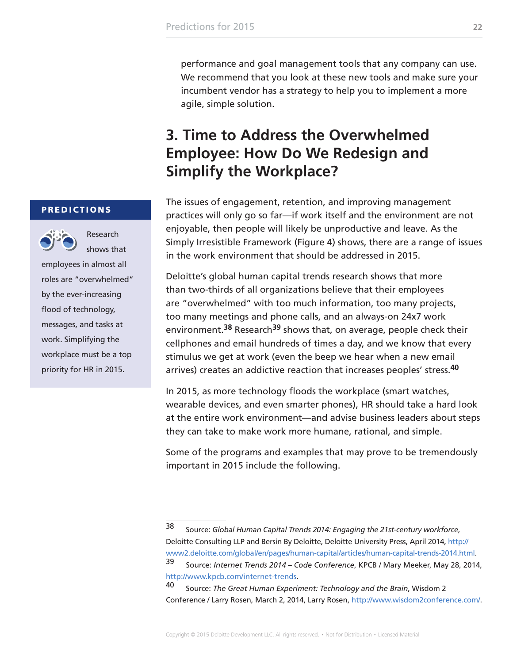<span id="page-21-0"></span>performance and goal management tools that any company can use. We recommend that you look at these new tools and make sure your incumbent vendor has a strategy to help you to implement a more agile, simple solution.

### **3. Time to Address the Overwhelmed Employee: How Do We Redesign and Simplify the Workplace?**

The issues of engagement, retention, and improving management practices will only go so far—if work itself and the environment are not enjoyable, then people will likely be unproductive and leave. As the Simply Irresistible Framework (Figure 4) shows, there are a range of issues in the work environment that should be addressed in 2015.

Deloitte's global human capital trends research shows that more than two-thirds of all organizations believe that their employees are "overwhelmed" with too much information, too many projects, too many meetings and phone calls, and an always-on 24x7 work environment.**38** Research**39** shows that, on average, people check their cellphones and email hundreds of times a day, and we know that every stimulus we get at work (even the beep we hear when a new email arrives) creates an addictive reaction that increases peoples' stress.**<sup>40</sup>**

In 2015, as more technology floods the workplace (smart watches, wearable devices, and even smarter phones), HR should take a hard look at the entire work environment—and advise business leaders about steps they can take to make work more humane, rational, and simple.

Some of the programs and examples that may prove to be tremendously important in 2015 include the following.

#### PREDICTIONS



shows that

Research

employees in almost all roles are "overwhelmed" by the ever-increasing flood of technology, messages, and tasks at work. Simplifying the workplace must be a top priority for HR in 2015.

<sup>38</sup> Source: *Global Human Capital Trends 2014: Engaging the 21st-century workforce*, Deloitte Consulting LLP and Bersin By Deloitte, Deloitte University Press, April 2014, [http://](http://www2.deloitte.com/global/en/pages/human-capital/articles/human-capital-trends-2014.html) [www2.deloitte.com/global/en/pages/human-capital/articles/human-capital-trends-2014.html.](http://www2.deloitte.com/global/en/pages/human-capital/articles/human-capital-trends-2014.html) 39 Source: *Internet Trends 2014 – Code Conference*, KPCB / Mary Meeker, May 28, 2014,

<http://www.kpcb.com/internet-trends>.

<sup>40</sup> Source: *The Great Human Experiment: Technology and the Brain*, Wisdom 2 Conference / Larry Rosen, March 2, 2014, Larry Rosen, <http://www.wisdom2conference.com/>.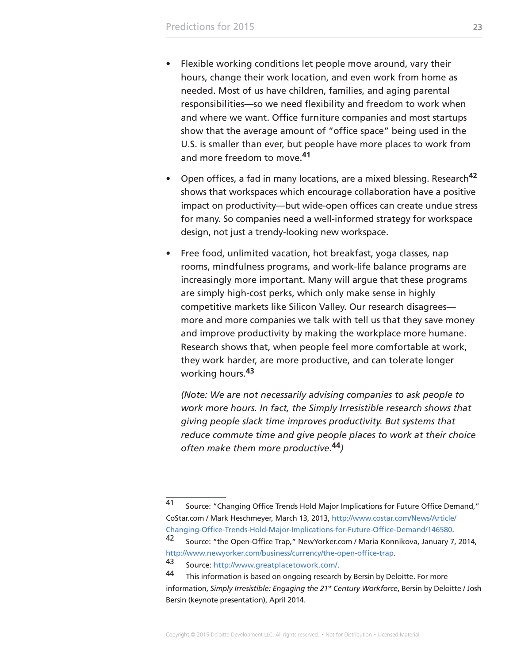- Flexible working conditions let people move around, vary their hours, change their work location, and even work from home as needed. Most of us have children, families, and aging parental responsibilities—so we need flexibility and freedom to work when and where we want. Office furniture companies and most startups show that the average amount of "office space" being used in the U.S. is smaller than ever, but people have more places to work from and more freedom to move.**<sup>41</sup>**
- Open offices, a fad in many locations, are a mixed blessing. Research**<sup>42</sup>** shows that workspaces which encourage collaboration have a positive impact on productivity—but wide-open offices can create undue stress for many. So companies need a well-informed strategy for workspace design, not just a trendy-looking new workspace.
- Free food, unlimited vacation, hot breakfast, yoga classes, nap rooms, mindfulness programs, and work-life balance programs are increasingly more important. Many will argue that these programs are simply high-cost perks, which only make sense in highly competitive markets like Silicon Valley. Our research disagrees more and more companies we talk with tell us that they save money and improve productivity by making the workplace more humane. Research shows that, when people feel more comfortable at work, they work harder, are more productive, and can tolerate longer working hours.**<sup>43</sup>**

*(Note: We are not necessarily advising companies to ask people to work more hours. In fact, the Simply Irresistible research shows that giving people slack time improves productivity. But systems that reduce commute time and give people places to work at their choice often make them more productive.***44***)*

<sup>41</sup> Source: "Changing Office Trends Hold Major Implications for Future Office Demand," CoStar.com / Mark Heschmeyer, March 13, 2013, [http://www.costar.com/News/Article/](http://www.costar.com/News/Article/Changing-Office-Trends-Hold-Major-Implications-for-Future-Office-Demand/146580) [Changing-Office-Trends-Hold-Major-Implications-for-Future-Office-Demand/146580.](http://www.costar.com/News/Article/Changing-Office-Trends-Hold-Major-Implications-for-Future-Office-Demand/146580)

<sup>42</sup> Source: "the Open-Office Trap," NewYorker.com / Maria Konnikova, January 7, 2014, [http://www.newyorker.com/business/currency/the-open-office-trap.](http://www.newyorker.com/business/currency/the-open-office-trap)

<sup>43</sup> Source: [http://www.greatplacetowork.com/.](http://www.greatplacetowork.com/)

<sup>44</sup> This information is based on ongoing research by Bersin by Deloitte. For more information, *Simply Irresistible: Engaging the 21st Century Workforce*, Bersin by Deloitte / Josh Bersin (keynote presentation), April 2014.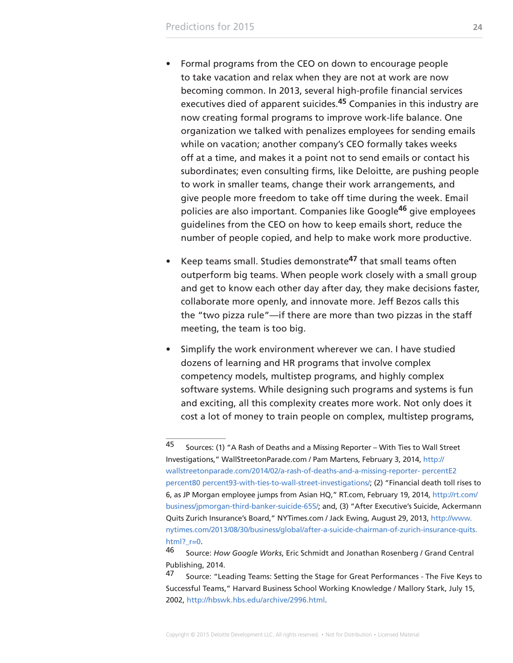- Formal programs from the CEO on down to encourage people to take vacation and relax when they are not at work are now becoming common. In 2013, several high-profile financial services executives died of apparent suicides.**45** Companies in this industry are now creating formal programs to improve work-life balance. One organization we talked with penalizes employees for sending emails while on vacation; another company's CEO formally takes weeks off at a time, and makes it a point not to send emails or contact his subordinates; even consulting firms, like Deloitte, are pushing people to work in smaller teams, change their work arrangements, and give people more freedom to take off time during the week. Email policies are also important. Companies like Google**46** give employees guidelines from the CEO on how to keep emails short, reduce the number of people copied, and help to make work more productive.
- Keep teams small. Studies demonstrate**47** that small teams often outperform big teams. When people work closely with a small group and get to know each other day after day, they make decisions faster, collaborate more openly, and innovate more. Jeff Bezos calls this the "two pizza rule"—if there are more than two pizzas in the staff meeting, the team is too big.
- Simplify the work environment wherever we can. I have studied dozens of learning and HR programs that involve complex competency models, multistep programs, and highly complex software systems. While designing such programs and systems is fun and exciting, all this complexity creates more work. Not only does it cost a lot of money to train people on complex, multistep programs,

<sup>45</sup> Sources: (1) "A Rash of Deaths and a Missing Reporter – With Ties to Wall Street Investigations," WallStreetonParade.com / Pam Martens, February 3, 2014, [http://](http://wallstreetonparade.com/2014/02/a-rash-of-deaths-and-a-missing-reporter-%E2%80%93-with-ties-to-wall-street-investigations/) [wallstreetonparade.com/2014/02/a-rash-of-deaths-and-a-missing-reporter- percentE2](http://wallstreetonparade.com/2014/02/a-rash-of-deaths-and-a-missing-reporter-%E2%80%93-with-ties-to-wall-street-investigations/)  [percent80 percent93-with-ties-to-wall-street-investigations/;](http://wallstreetonparade.com/2014/02/a-rash-of-deaths-and-a-missing-reporter-%E2%80%93-with-ties-to-wall-street-investigations/) (2) "Financial death toll rises to 6, as JP Morgan employee jumps from Asian HQ," RT.com, February 19, 2014, [http://rt.com/](http://rt.com/business/jpmorgan-third-banker-suicide-655/) [business/jpmorgan-third-banker-suicide-655/;](http://rt.com/business/jpmorgan-third-banker-suicide-655/) and, (3) "After Executive's Suicide, Ackermann Quits Zurich Insurance's Board," NYTimes.com / Jack Ewing, August 29, 2013, [http://www.](http://www.nytimes.com/2013/08/30/business/global/after-a-suicide-chairman-of-zurich-insurance-quits.html?_r=0) [nytimes.com/2013/08/30/business/global/after-a-suicide-chairman-of-zurich-insurance-quits.](http://www.nytimes.com/2013/08/30/business/global/after-a-suicide-chairman-of-zurich-insurance-quits.html?_r=0) html?  $r=0$ .

<sup>46</sup> Source: *How Google Works*, Eric Schmidt and Jonathan Rosenberg / Grand Central Publishing, 2014.

<sup>47</sup> Source: "Leading Teams: Setting the Stage for Great Performances - The Five Keys to Successful Teams," Harvard Business School Working Knowledge / Mallory Stark, July 15, 2002,<http://hbswk.hbs.edu/archive/2996.html>.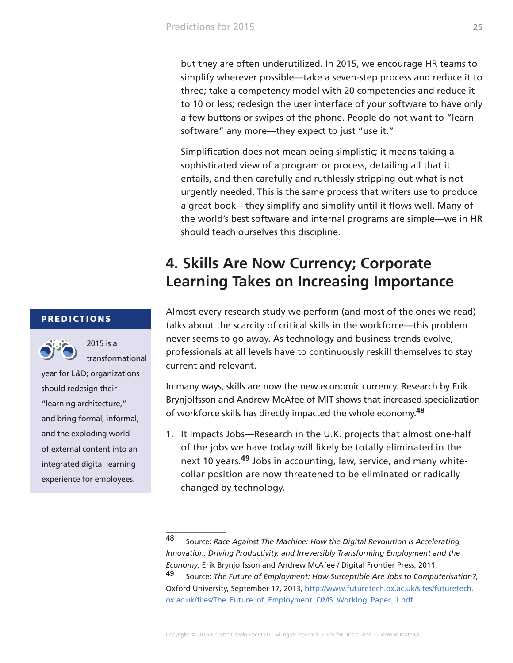<span id="page-24-0"></span>but they are often underutilized. In 2015, we encourage HR teams to simplify wherever possible—take a seven-step process and reduce it to three; take a competency model with 20 competencies and reduce it to 10 or less; redesign the user interface of your software to have only a few buttons or swipes of the phone. People do not want to "learn software" any more—they expect to just "use it."

Simplification does not mean being simplistic; it means taking a sophisticated view of a program or process, detailing all that it entails, and then carefully and ruthlessly stripping out what is not urgently needed. This is the same process that writers use to produce a great book—they simplify and simplify until it flows well. Many of the world's best software and internal programs are simple—we in HR should teach ourselves this discipline.

### **4. Skills Are Now Currency; Corporate Learning Takes on Increasing Importance**

Almost every research study we perform (and most of the ones we read) talks about the scarcity of critical skills in the workforce—this problem never seems to go away. As technology and business trends evolve, professionals at all levels have to continuously reskill themselves to stay current and relevant.

In many ways, skills are now the new economic currency. Research by Erik Brynjolfsson and Andrew McAfee of MIT shows that increased specialization of workforce skills has directly impacted the whole economy.**<sup>48</sup>**

1. It Impacts Jobs—Research in the U.K. projects that almost one-half of the jobs we have today will likely be totally eliminated in the next 10 years.**49** Jobs in accounting, law, service, and many whitecollar position are now threatened to be eliminated or radically changed by technology.

#### PREDICTIONS



transformational

2015 is a

year for L&D; organizations should redesign their "learning architecture," and bring formal, informal, and the exploding world of external content into an integrated digital learning experience for employees.

<sup>48</sup> Source: *Race Against The Machine: How the Digital Revolution is Accelerating Innovation, Driving Productivity, and Irreversibly Transforming Employment and the Economy*, Erik Brynjolfsson and Andrew McAfee / Digital Frontier Press, 2011. 49 Source: *The Future of Employment: How Susceptible Are Jobs to Computerisation?*, Oxford University, September 17, 2013, [http://www.futuretech.ox.ac.uk/sites/futuretech.](http://www.futuretech.ox.ac.uk/sites/futuretech.ox.ac.uk/files/The_Future_of_Employment_OMS_Working_Paper_1.pdf) [ox.ac.uk/files/The\\_Future\\_of\\_Employment\\_OMS\\_Working\\_Paper\\_1.pdf](http://www.futuretech.ox.ac.uk/sites/futuretech.ox.ac.uk/files/The_Future_of_Employment_OMS_Working_Paper_1.pdf).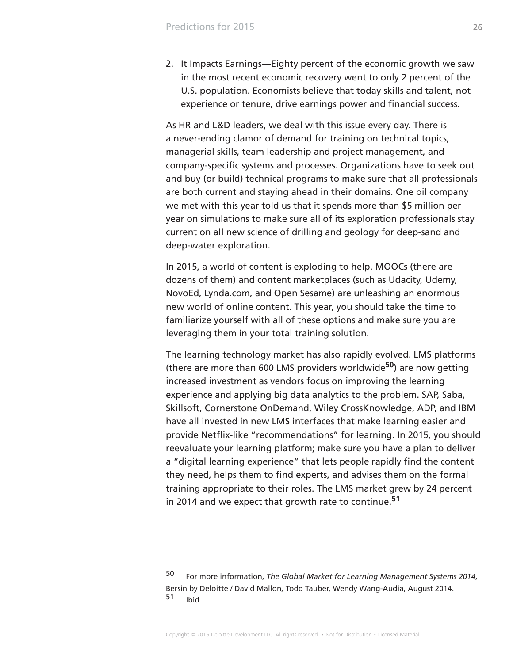2. It Impacts Earnings—Eighty percent of the economic growth we saw in the most recent economic recovery went to only 2 percent of the U.S. population. Economists believe that today skills and talent, not experience or tenure, drive earnings power and financial success.

As HR and L&D leaders, we deal with this issue every day. There is a never-ending clamor of demand for training on technical topics, managerial skills, team leadership and project management, and company-specific systems and processes. Organizations have to seek out and buy (or build) technical programs to make sure that all professionals are both current and staying ahead in their domains. One oil company we met with this year told us that it spends more than \$5 million per year on simulations to make sure all of its exploration professionals stay current on all new science of drilling and geology for deep-sand and deep-water exploration.

In 2015, a world of content is exploding to help. MOOCs (there are dozens of them) and content marketplaces (such as Udacity, Udemy, NovoEd, Lynda.com, and Open Sesame) are unleashing an enormous new world of online content. This year, you should take the time to familiarize yourself with all of these options and make sure you are leveraging them in your total training solution.

The learning technology market has also rapidly evolved. LMS platforms (there are more than 600 LMS providers worldwide**50**) are now getting increased investment as vendors focus on improving the learning experience and applying big data analytics to the problem. SAP, Saba, Skillsoft, Cornerstone OnDemand, Wiley CrossKnowledge, ADP, and IBM have all invested in new LMS interfaces that make learning easier and provide Netflix-like "recommendations" for learning. In 2015, you should reevaluate your learning platform; make sure you have a plan to deliver a "digital learning experience" that lets people rapidly find the content they need, helps them to find experts, and advises them on the formal training appropriate to their roles. The LMS market grew by 24 percent in 2014 and we expect that growth rate to continue.**<sup>51</sup>**

<sup>50</sup> For more information, *The Global Market for Learning Management Systems 2014*, Bersin by Deloitte / David Mallon, Todd Tauber, Wendy Wang-Audia, August 2014.  $51$  Ibid.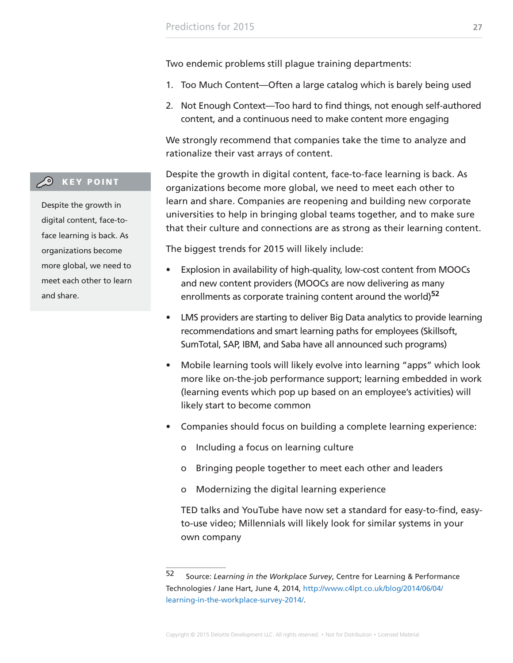Two endemic problems still plague training departments:

- 1. Too Much Content—Often a large catalog which is barely being used
- 2. Not Enough Context—Too hard to find things, not enough self-authored content, and a continuous need to make content more engaging

We strongly recommend that companies take the time to analyze and rationalize their vast arrays of content.

Despite the growth in digital content, face-to-face learning is back. As organizations become more global, we need to meet each other to learn and share. Companies are reopening and building new corporate universities to help in bringing global teams together, and to make sure that their culture and connections are as strong as their learning content.

The biggest trends for 2015 will likely include:

- Explosion in availability of high-quality, low-cost content from MOOCs and new content providers (MOOCs are now delivering as many enrollments as corporate training content around the world)**<sup>52</sup>**
- LMS providers are starting to deliver Big Data analytics to provide learning recommendations and smart learning paths for employees (Skillsoft, SumTotal, SAP, IBM, and Saba have all announced such programs)
- Mobile learning tools will likely evolve into learning "apps" which look more like on-the-job performance support; learning embedded in work (learning events which pop up based on an employee's activities) will likely start to become common
- Companies should focus on building a complete learning experience:
	- o Including a focus on learning culture
	- o Bringing people together to meet each other and leaders
	- o Modernizing the digital learning experience

TED talks and YouTube have now set a standard for easy-to-find, easyto-use video; Millennials will likely look for similar systems in your own company

#### **CO** KEY POINT

Despite the growth in digital content, face-toface learning is back. As organizations become more global, we need to meet each other to learn and share.

<sup>52</sup> Source: *Learning in the Workplace Survey*, Centre for Learning & Performance Technologies / Jane Hart, June 4, 2014, [http://www.c4lpt.co.uk/blog/2014/06/04/](http://www.c4lpt.co.uk/blog/2014/06/04/learning-in-the-workplace-survey-2014/) [learning-in-the-workplace-survey-2014/.](http://www.c4lpt.co.uk/blog/2014/06/04/learning-in-the-workplace-survey-2014/)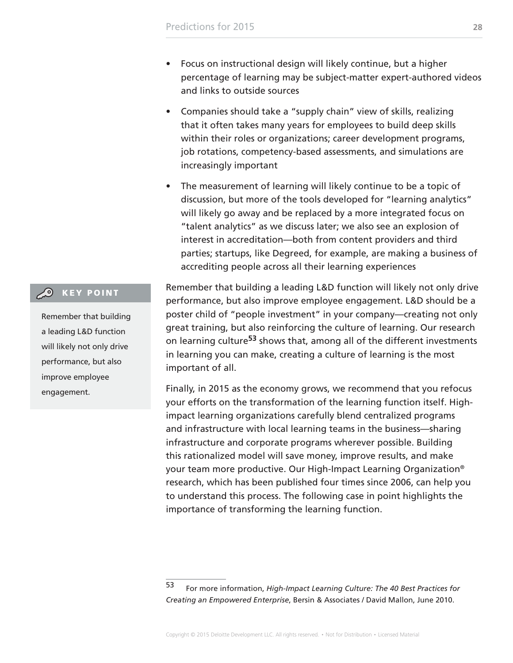- Focus on instructional design will likely continue, but a higher percentage of learning may be subject-matter expert-authored videos and links to outside sources
- Companies should take a "supply chain" view of skills, realizing that it often takes many years for employees to build deep skills within their roles or organizations; career development programs, job rotations, competency-based assessments, and simulations are increasingly important
- The measurement of learning will likely continue to be a topic of discussion, but more of the tools developed for "learning analytics" will likely go away and be replaced by a more integrated focus on "talent analytics" as we discuss later; we also see an explosion of interest in accreditation—both from content providers and third parties; startups, like Degreed, for example, are making a business of accrediting people across all their learning experiences

Remember that building a leading L&D function will likely not only drive performance, but also improve employee engagement. L&D should be a poster child of "people investment" in your company—creating not only great training, but also reinforcing the culture of learning. Our research on learning culture**53** shows that, among all of the different investments in learning you can make, creating a culture of learning is the most important of all.

Finally, in 2015 as the economy grows, we recommend that you refocus your efforts on the transformation of the learning function itself. Highimpact learning organizations carefully blend centralized programs and infrastructure with local learning teams in the business—sharing infrastructure and corporate programs wherever possible. Building this rationalized model will save money, improve results, and make your team more productive. Our High-Impact Learning Organization® research, which has been published four times since 2006, can help you to understand this process. The following case in point highlights the importance of transforming the learning function.

#### **CO** KEY POINT

Remember that building a leading L&D function will likely not only drive performance, but also improve employee engagement.

<sup>53</sup> For more information, *High-Impact Learning Culture: The 40 Best Practices for Creating an Empowered Enterprise*, Bersin & Associates / David Mallon, June 2010.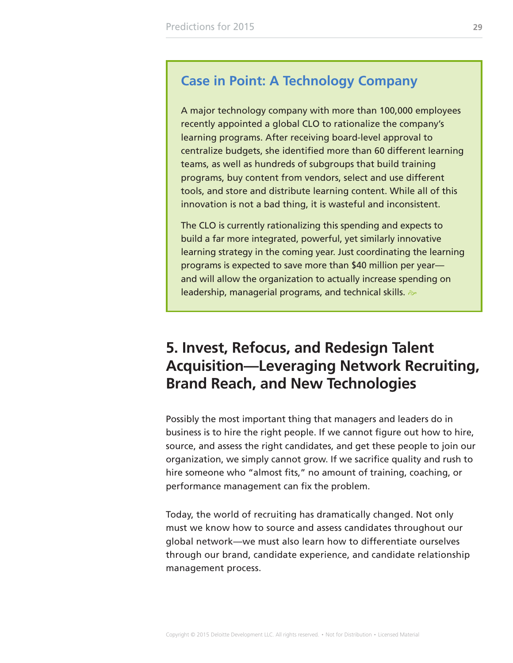### <span id="page-28-0"></span>**Case in Point: A Technology Company**

A major technology company with more than 100,000 employees recently appointed a global CLO to rationalize the company's learning programs. After receiving board-level approval to centralize budgets, she identified more than 60 different learning teams, as well as hundreds of subgroups that build training programs, buy content from vendors, select and use different tools, and store and distribute learning content. While all of this innovation is not a bad thing, it is wasteful and inconsistent.

The CLO is currently rationalizing this spending and expects to build a far more integrated, powerful, yet similarly innovative learning strategy in the coming year. Just coordinating the learning programs is expected to save more than \$40 million per year and will allow the organization to actually increase spending on leadership, managerial programs, and technical skills.  $\gg$ 

### **5. Invest, Refocus, and Redesign Talent Acquisition—Leveraging Network Recruiting, Brand Reach, and New Technologies**

Possibly the most important thing that managers and leaders do in business is to hire the right people. If we cannot figure out how to hire, source, and assess the right candidates, and get these people to join our organization, we simply cannot grow. If we sacrifice quality and rush to hire someone who "almost fits," no amount of training, coaching, or performance management can fix the problem.

Today, the world of recruiting has dramatically changed. Not only must we know how to source and assess candidates throughout our global network—we must also learn how to differentiate ourselves through our brand, candidate experience, and candidate relationship management process.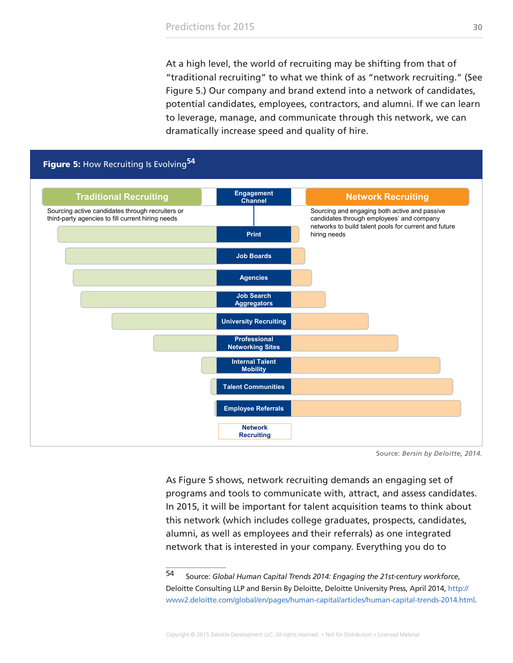At a high level, the world of recruiting may be shifting from that of "traditional recruiting" to what we think of as "network recruiting." (See Figure 5.) Our company and brand extend into a network of candidates, potential candidates, employees, contractors, and alumni. If we can learn to leverage, manage, and communicate through this network, we can dramatically increase speed and quality of hire.

<span id="page-29-0"></span>

Source: *Bersin by Deloitte, 2014.*

As Figure 5 shows, network recruiting demands an engaging set of programs and tools to communicate with, attract, and assess candidates. In 2015, it will be important for talent acquisition teams to think about this network (which includes college graduates, prospects, candidates, alumni, as well as employees and their referrals) as one integrated network that is interested in your company. Everything you do to

<sup>54</sup> Source: *Global Human Capital Trends 2014: Engaging the 21st-century workforce*, Deloitte Consulting LLP and Bersin By Deloitte, Deloitte University Press, April 2014, [http://](http://www2.deloitte.com/global/en/pages/human-capital/articles/human-capital-trends-2014.html) [www2.deloitte.com/global/en/pages/human-capital/articles/human-capital-trends-2014.html.](http://www2.deloitte.com/global/en/pages/human-capital/articles/human-capital-trends-2014.html)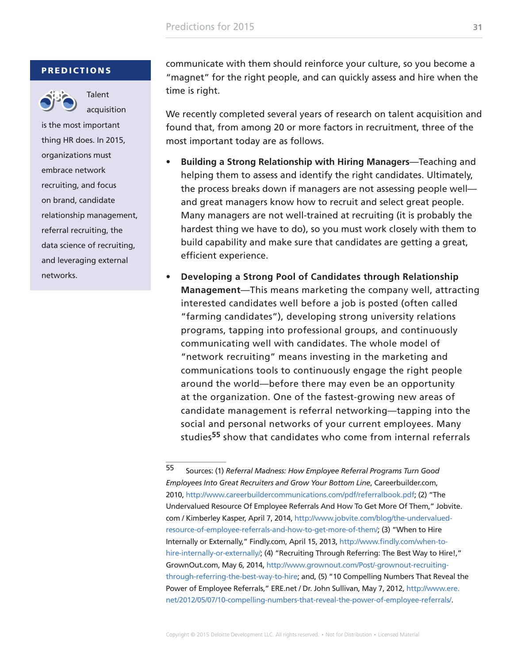#### **PREDICTIONS**



Talent acquisition

is the most important thing HR does. In 2015, organizations must embrace network recruiting, and focus on brand, candidate relationship management, referral recruiting, the data science of recruiting, and leveraging external networks.

communicate with them should reinforce your culture, so you become a "magnet" for the right people, and can quickly assess and hire when the time is right.

We recently completed several years of research on talent acquisition and found that, from among 20 or more factors in recruitment, three of the most important today are as follows.

- **• Building a Strong Relationship with Hiring Managers**—Teaching and helping them to assess and identify the right candidates. Ultimately, the process breaks down if managers are not assessing people well and great managers know how to recruit and select great people. Many managers are not well-trained at recruiting (it is probably the hardest thing we have to do), so you must work closely with them to build capability and make sure that candidates are getting a great, efficient experience.
- **• Developing a Strong Pool of Candidates through Relationship Management**—This means marketing the company well, attracting interested candidates well before a job is posted (often called "farming candidates"), developing strong university relations programs, tapping into professional groups, and continuously communicating well with candidates. The whole model of "network recruiting" means investing in the marketing and communications tools to continuously engage the right people around the world—before there may even be an opportunity at the organization. One of the fastest-growing new areas of candidate management is referral networking—tapping into the social and personal networks of your current employees. Many studies**55** show that candidates who come from internal referrals

<sup>55</sup> Sources: (1) *Referral Madness: How Employee Referral Programs Turn Good Employees Into Great Recruiters and Grow Your Bottom Line*, Careerbuilder.com, 2010, [http://www.careerbuildercommunications.com/pdf/referralbook.pdf;](http://www.careerbuildercommunications.com/pdf/referralbook.pdf) (2) "The Undervalued Resource Of Employee Referrals And How To Get More Of Them," Jobvite. com / Kimberley Kasper, April 7, 2014, [http://www.jobvite.com/blog/the-undervalued](http://www.jobvite.com/blog/the-undervalued-resource-of-employee-referrals-and-how-to-get-more-of-them/)[resource-of-employee-referrals-and-how-to-get-more-of-them/;](http://www.jobvite.com/blog/the-undervalued-resource-of-employee-referrals-and-how-to-get-more-of-them/) (3) "When to Hire Internally or Externally," Findly.com, April 15, 2013, [http://www.findly.com/when-to](http://www.findly.com/when-to-hire-internally-or-externally/)[hire-internally-or-externally/;](http://www.findly.com/when-to-hire-internally-or-externally/) (4) "Recruiting Through Referring: The Best Way to Hire!," GrownOut.com, May 6, 2014, [http://www.grownout.com/Post/-grownout-recruiting](http://www.grownout.com/Post/-grownout-recruiting-through-referring-the-best-way-to-hire)[through-referring-the-best-way-to-hire](http://www.grownout.com/Post/-grownout-recruiting-through-referring-the-best-way-to-hire); and, (5) "10 Compelling Numbers That Reveal the Power of Employee Referrals," ERE.net / Dr. John Sullivan, May 7, 2012, [http://www.ere.](http://www.ere.net/2012/05/07/10-compelling-numbers-that-reveal-the-power-of-employee-referrals/) [net/2012/05/07/10-compelling-numbers-that-reveal-the-power-of-employee-referrals/.](http://www.ere.net/2012/05/07/10-compelling-numbers-that-reveal-the-power-of-employee-referrals/)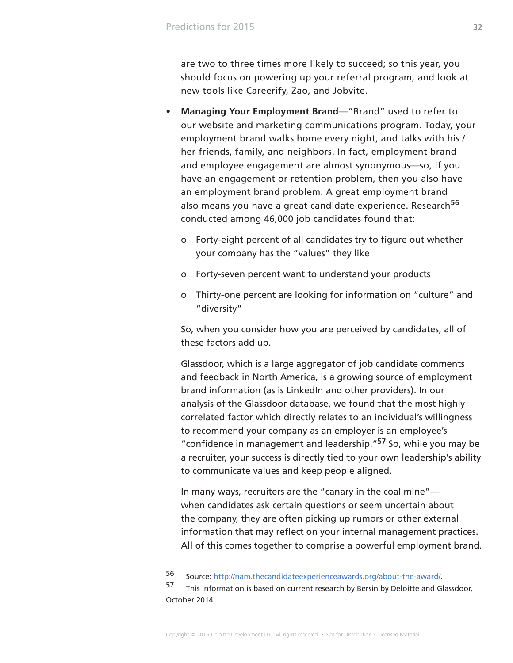are two to three times more likely to succeed; so this year, you should focus on powering up your referral program, and look at new tools like Careerify, Zao, and Jobvite.

- **• Managing Your Employment Brand**—"Brand" used to refer to our website and marketing communications program. Today, your employment brand walks home every night, and talks with his / her friends, family, and neighbors. In fact, employment brand and employee engagement are almost synonymous—so, if you have an engagement or retention problem, then you also have an employment brand problem. A great employment brand also means you have a great candidate experience. Research**<sup>56</sup>** conducted among 46,000 job candidates found that:
	- o Forty-eight percent of all candidates try to figure out whether your company has the "values" they like
	- o Forty-seven percent want to understand your products
	- o Thirty-one percent are looking for information on "culture" and "diversity"

So, when you consider how you are perceived by candidates, all of these factors add up.

Glassdoor, which is a large aggregator of job candidate comments and feedback in North America, is a growing source of employment brand information (as is LinkedIn and other providers). In our analysis of the Glassdoor database, we found that the most highly correlated factor which directly relates to an individual's willingness to recommend your company as an employer is an employee's "confidence in management and leadership."**57** So, while you may be a recruiter, your success is directly tied to your own leadership's ability to communicate values and keep people aligned.

In many ways, recruiters are the "canary in the coal mine" when candidates ask certain questions or seem uncertain about the company, they are often picking up rumors or other external information that may reflect on your internal management practices. All of this comes together to comprise a powerful employment brand.

<sup>56</sup> Source:<http://nam.thecandidateexperienceawards.org/about-the-award/>.

<sup>57</sup> This information is based on current research by Bersin by Deloitte and Glassdoor, October 2014.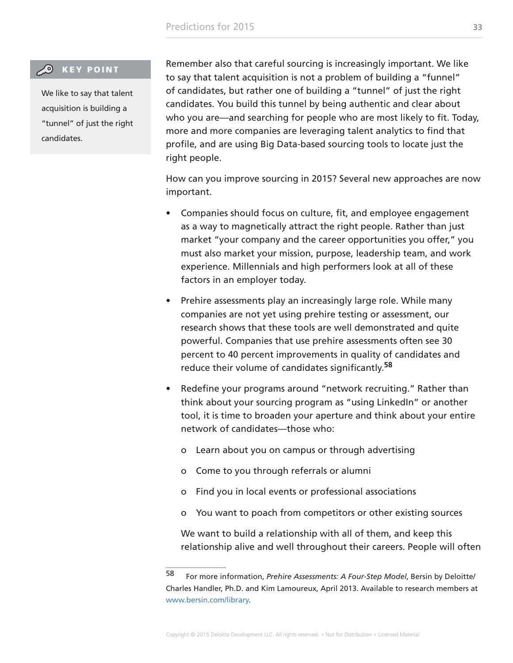#### **CO** KEY POINT

We like to say that talent acquisition is building a "tunnel" of just the right candidates.

Remember also that careful sourcing is increasingly important. We like to say that talent acquisition is not a problem of building a "funnel" of candidates, but rather one of building a "tunnel" of just the right candidates. You build this tunnel by being authentic and clear about who you are—and searching for people who are most likely to fit. Today, more and more companies are leveraging talent analytics to find that profile, and are using Big Data-based sourcing tools to locate just the right people.

How can you improve sourcing in 2015? Several new approaches are now important.

- Companies should focus on culture, fit, and employee engagement as a way to magnetically attract the right people. Rather than just market "your company and the career opportunities you offer," you must also market your mission, purpose, leadership team, and work experience. Millennials and high performers look at all of these factors in an employer today.
- Prehire assessments play an increasingly large role. While many companies are not yet using prehire testing or assessment, our research shows that these tools are well demonstrated and quite powerful. Companies that use prehire assessments often see 30 percent to 40 percent improvements in quality of candidates and reduce their volume of candidates significantly.**<sup>58</sup>**
- Redefine your programs around "network recruiting." Rather than think about your sourcing program as "using LinkedIn" or another tool, it is time to broaden your aperture and think about your entire network of candidates—those who:
	- o Learn about you on campus or through advertising
	- o Come to you through referrals or alumni
	- o Find you in local events or professional associations
	- o You want to poach from competitors or other existing sources

We want to build a relationship with all of them, and keep this relationship alive and well throughout their careers. People will often

<sup>58</sup> For more information, *Prehire Assessments: A Four-Step Model*, Bersin by Deloitte/ Charles Handler, Ph.D. and Kim Lamoureux, April 2013. Available to research members at [www.bersin.com/library.](http://www.bersin.com/library)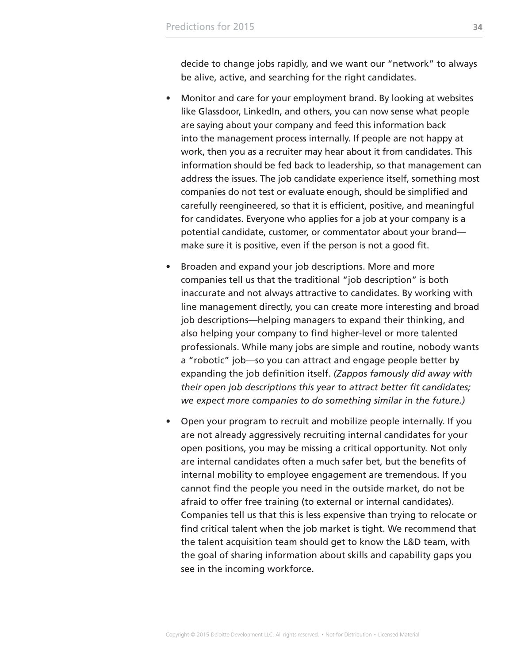decide to change jobs rapidly, and we want our "network" to always be alive, active, and searching for the right candidates.

- Monitor and care for your employment brand. By looking at websites like Glassdoor, LinkedIn, and others, you can now sense what people are saying about your company and feed this information back into the management process internally. If people are not happy at work, then you as a recruiter may hear about it from candidates. This information should be fed back to leadership, so that management can address the issues. The job candidate experience itself, something most companies do not test or evaluate enough, should be simplified and carefully reengineered, so that it is efficient, positive, and meaningful for candidates. Everyone who applies for a job at your company is a potential candidate, customer, or commentator about your brand make sure it is positive, even if the person is not a good fit.
- Broaden and expand your job descriptions. More and more companies tell us that the traditional "job description" is both inaccurate and not always attractive to candidates. By working with line management directly, you can create more interesting and broad job descriptions—helping managers to expand their thinking, and also helping your company to find higher-level or more talented professionals. While many jobs are simple and routine, nobody wants a "robotic" job—so you can attract and engage people better by expanding the job definition itself. *(Zappos famously did away with their open job descriptions this year to attract better fit candidates; we expect more companies to do something similar in the future.)*
- Open your program to recruit and mobilize people internally. If you are not already aggressively recruiting internal candidates for your open positions, you may be missing a critical opportunity. Not only are internal candidates often a much safer bet, but the benefits of internal mobility to employee engagement are tremendous. If you cannot find the people you need in the outside market, do not be afraid to offer free training (to external or internal candidates). Companies tell us that this is less expensive than trying to relocate or find critical talent when the job market is tight. We recommend that the talent acquisition team should get to know the L&D team, with the goal of sharing information about skills and capability gaps you see in the incoming workforce.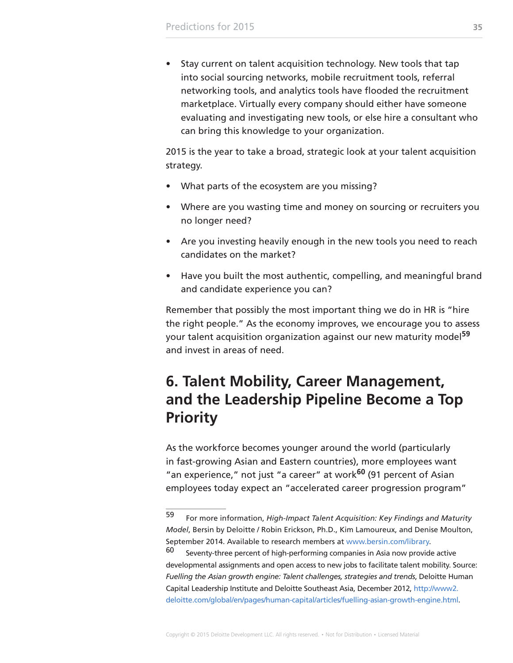<span id="page-34-0"></span>• Stay current on talent acquisition technology. New tools that tap into social sourcing networks, mobile recruitment tools, referral networking tools, and analytics tools have flooded the recruitment marketplace. Virtually every company should either have someone evaluating and investigating new tools, or else hire a consultant who can bring this knowledge to your organization.

2015 is the year to take a broad, strategic look at your talent acquisition strategy.

- What parts of the ecosystem are you missing?
- Where are you wasting time and money on sourcing or recruiters you no longer need?
- Are you investing heavily enough in the new tools you need to reach candidates on the market?
- Have you built the most authentic, compelling, and meaningful brand and candidate experience you can?

Remember that possibly the most important thing we do in HR is "hire the right people." As the economy improves, we encourage you to assess your talent acquisition organization against our new maturity model**<sup>59</sup>** and invest in areas of need.

### **6. Talent Mobility, Career Management, and the Leadership Pipeline Become a Top Priority**

As the workforce becomes younger around the world (particularly in fast-growing Asian and Eastern countries), more employees want "an experience," not just "a career" at work**60** (91 percent of Asian employees today expect an "accelerated career progression program"

<sup>59</sup> For more information, *High-Impact Talent Acquisition: Key Findings and Maturity Model*, Bersin by Deloitte / Robin Erickson, Ph.D., Kim Lamoureux, and Denise Moulton, September 2014. Available to research members at [www.bersin.com/library](http://www.bersin.com/library).

 $60$  Seventy-three percent of high-performing companies in Asia now provide active developmental assignments and open access to new jobs to facilitate talent mobility. Source: *Fuelling the Asian growth engine: Talent challenges, strategies and trends*, Deloitte Human Capital Leadership Institute and Deloitte Southeast Asia, December 2012, [http://www2.](http://www2.deloitte.com/global/en/pages/human-capital/articles/fuelling-asian-growth-engine.html) [deloitte.com/global/en/pages/human-capital/articles/fuelling-asian-growth-engine.html](http://www2.deloitte.com/global/en/pages/human-capital/articles/fuelling-asian-growth-engine.html).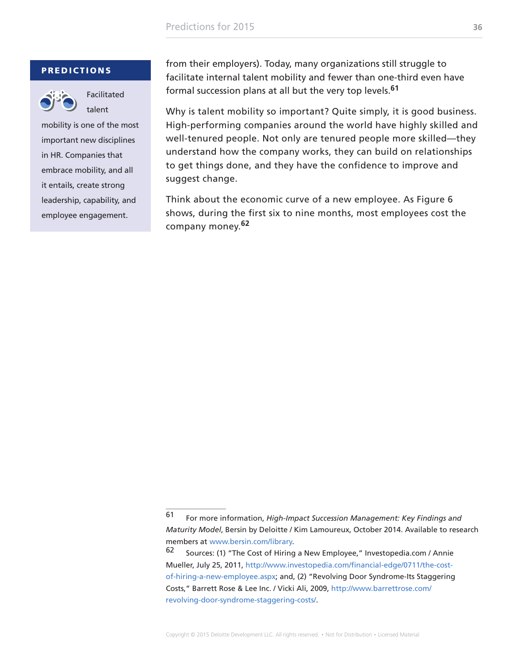#### **PREDICTIONS**



Facilitated talent

mobility is one of the most important new disciplines in HR. Companies that embrace mobility, and all it entails, create strong leadership, capability, and employee engagement.

from their employers). Today, many organizations still struggle to facilitate internal talent mobility and fewer than one-third even have formal succession plans at all but the very top levels.**<sup>61</sup>**

Why is talent mobility so important? Quite simply, it is good business. High-performing companies around the world have highly skilled and well-tenured people. Not only are tenured people more skilled—they understand how the company works, they can build on relationships to get things done, and they have the confidence to improve and suggest change.

Think about the economic curve of a new employee. As Figure 6 shows, during the first six to nine months, most employees cost the company money.**<sup>62</sup>**

<sup>61</sup> For more information, *High-Impact Succession Management: Key Findings and Maturity Model*, Bersin by Deloitte / Kim Lamoureux, October 2014. Available to research members at [www.bersin.com/library.](http://www.bersin.com/library)

<sup>62</sup> Sources: (1) "The Cost of Hiring a New Employee," Investopedia.com / Annie Mueller, July 25, 2011, [http://www.investopedia.com/financial-edge/0711/the-cost](http://www.investopedia.com/financial-edge/0711/the-cost-of-hiring-a-new-employee.aspx)[of-hiring-a-new-employee.aspx](http://www.investopedia.com/financial-edge/0711/the-cost-of-hiring-a-new-employee.aspx); and, (2) "Revolving Door Syndrome-Its Staggering Costs," Barrett Rose & Lee Inc. / Vicki Ali, 2009, [http://www.barrettrose.com/](http://www.barrettrose.com/revolving-door-syndrome-staggering-costs/) [revolving-door-syndrome-staggering-costs/](http://www.barrettrose.com/revolving-door-syndrome-staggering-costs/).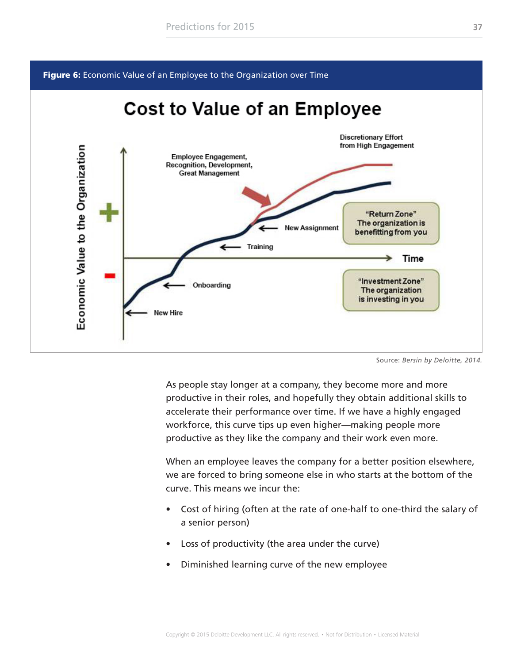<span id="page-36-0"></span>Figure 6: Economic Value of an Employee to the Organization over Time

### **Cost to Value of an Employee**



Source: *Bersin by Deloitte, 2014.*

As people stay longer at a company, they become more and more productive in their roles, and hopefully they obtain additional skills to accelerate their performance over time. If we have a highly engaged workforce, this curve tips up even higher—making people more productive as they like the company and their work even more.

When an employee leaves the company for a better position elsewhere, we are forced to bring someone else in who starts at the bottom of the curve. This means we incur the:

- Cost of hiring (often at the rate of one-half to one-third the salary of a senior person)
- Loss of productivity (the area under the curve)
- Diminished learning curve of the new employee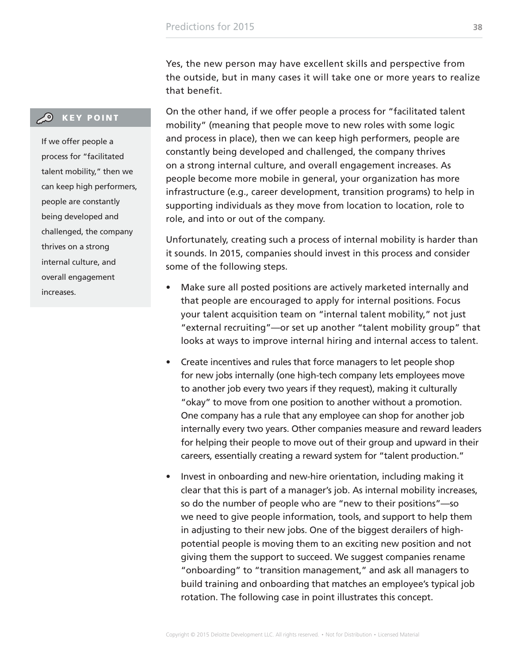Yes, the new person may have excellent skills and perspective from the outside, but in many cases it will take one or more years to realize that benefit.

On the other hand, if we offer people a process for "facilitated talent mobility" (meaning that people move to new roles with some logic and process in place), then we can keep high performers, people are constantly being developed and challenged, the company thrives on a strong internal culture, and overall engagement increases. As people become more mobile in general, your organization has more infrastructure (e.g., career development, transition programs) to help in supporting individuals as they move from location to location, role to role, and into or out of the company.

Unfortunately, creating such a process of internal mobility is harder than it sounds. In 2015, companies should invest in this process and consider some of the following steps.

- Make sure all posted positions are actively marketed internally and that people are encouraged to apply for internal positions. Focus your talent acquisition team on "internal talent mobility," not just "external recruiting"—or set up another "talent mobility group" that looks at ways to improve internal hiring and internal access to talent.
- Create incentives and rules that force managers to let people shop for new jobs internally (one high-tech company lets employees move to another job every two years if they request), making it culturally "okay" to move from one position to another without a promotion. One company has a rule that any employee can shop for another job internally every two years. Other companies measure and reward leaders for helping their people to move out of their group and upward in their careers, essentially creating a reward system for "talent production."
- Invest in onboarding and new-hire orientation, including making it clear that this is part of a manager's job. As internal mobility increases, so do the number of people who are "new to their positions"—so we need to give people information, tools, and support to help them in adjusting to their new jobs. One of the biggest derailers of highpotential people is moving them to an exciting new position and not giving them the support to succeed. We suggest companies rename "onboarding" to "transition management," and ask all managers to build training and onboarding that matches an employee's typical job rotation. The following case in point illustrates this concept.

### **CO** KEY POINT

If we offer people a process for "facilitated talent mobility," then we can keep high performers, people are constantly being developed and challenged, the company thrives on a strong internal culture, and overall engagement increases.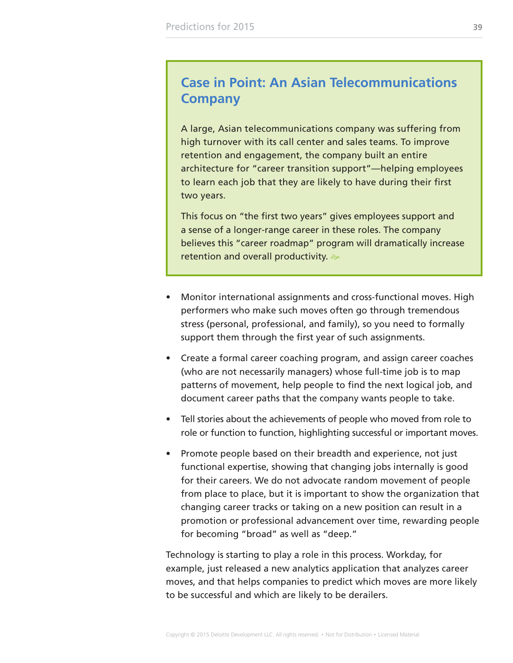### **Case in Point: An Asian Telecommunications Company**

A large, Asian telecommunications company was suffering from high turnover with its call center and sales teams. To improve retention and engagement, the company built an entire architecture for "career transition support"—helping employees to learn each job that they are likely to have during their first two years.

This focus on "the first two years" gives employees support and a sense of a longer-range career in these roles. The company believes this "career roadmap" program will dramatically increase retention and overall productivity.  $\gg$ 

- Monitor international assignments and cross-functional moves. High performers who make such moves often go through tremendous stress (personal, professional, and family), so you need to formally support them through the first year of such assignments.
- Create a formal career coaching program, and assign career coaches (who are not necessarily managers) whose full-time job is to map patterns of movement, help people to find the next logical job, and document career paths that the company wants people to take.
- Tell stories about the achievements of people who moved from role to role or function to function, highlighting successful or important moves.
- Promote people based on their breadth and experience, not just functional expertise, showing that changing jobs internally is good for their careers. We do not advocate random movement of people from place to place, but it is important to show the organization that changing career tracks or taking on a new position can result in a promotion or professional advancement over time, rewarding people for becoming "broad" as well as "deep."

Technology is starting to play a role in this process. Workday, for example, just released a new analytics application that analyzes career moves, and that helps companies to predict which moves are more likely to be successful and which are likely to be derailers.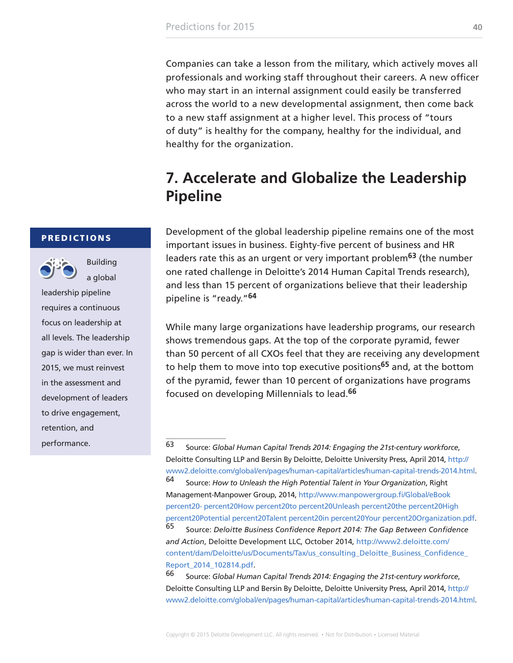<span id="page-39-0"></span>Companies can take a lesson from the military, which actively moves all professionals and working staff throughout their careers. A new officer who may start in an internal assignment could easily be transferred across the world to a new developmental assignment, then come back to a new staff assignment at a higher level. This process of "tours of duty" is healthy for the company, healthy for the individual, and healthy for the organization.

### **7. Accelerate and Globalize the Leadership Pipeline**

Development of the global leadership pipeline remains one of the most important issues in business. Eighty-five percent of business and HR leaders rate this as an urgent or very important problem**63** (the number one rated challenge in Deloitte's 2014 Human Capital Trends research), and less than 15 percent of organizations believe that their leadership pipeline is "ready."**<sup>64</sup>**

While many large organizations have leadership programs, our research shows tremendous gaps. At the top of the corporate pyramid, fewer than 50 percent of all CXOs feel that they are receiving any development to help them to move into top executive positions**65** and, at the bottom of the pyramid, fewer than 10 percent of organizations have programs focused on developing Millennials to lead.**<sup>66</sup>**

[Report\\_2014\\_102814.pdf.](http://www2.deloitte.com/content/dam/Deloitte/us/Documents/Tax/us_consulting_Deloitte_Business_Confidence_Report_2014_102814.pdf)

66 Source: *Global Human Capital Trends 2014: Engaging the 21st-century workforce*, Deloitte Consulting LLP and Bersin By Deloitte, Deloitte University Press, April 2014, [http://](http://www2.deloitte.com/global/en/pages/human-capital/articles/human-capital-trends-2014.html) [www2.deloitte.com/global/en/pages/human-capital/articles/human-capital-trends-2014.html.](http://www2.deloitte.com/global/en/pages/human-capital/articles/human-capital-trends-2014.html)

### **PREDICTIONS**



Building a global

leadership pipeline requires a continuous focus on leadership at all levels. The leadership gap is wider than ever. In 2015, we must reinvest in the assessment and development of leaders to drive engagement, retention, and performance.

<sup>63</sup> Source: *Global Human Capital Trends 2014: Engaging the 21st-century workforce*, Deloitte Consulting LLP and Bersin By Deloitte, Deloitte University Press, April 2014, [http://](http://www2.deloitte.com/global/en/pages/human-capital/articles/human-capital-trends-2014.html) [www2.deloitte.com/global/en/pages/human-capital/articles/human-capital-trends-2014.html.](http://www2.deloitte.com/global/en/pages/human-capital/articles/human-capital-trends-2014.html) 64 Source: *How to Unleash the High Potential Talent in Your Organization*, Right Management-Manpower Group, 2014, [http://www.manpowergroup.fi/Global/eBook](http://www.manpowergroup.fi/Global/eBook%20-%20How%20to%20Unleash%20the%20High%20Potential%20Talent%20in%20Your%20Organization.pdf)  [percent20- percent20How percent20to percent20Unleash percent20the percent20High](http://www.manpowergroup.fi/Global/eBook%20-%20How%20to%20Unleash%20the%20High%20Potential%20Talent%20in%20Your%20Organization.pdf)  [percent20Potential percent20Talent percent20in percent20Your percent20Organization.pdf.](http://www.manpowergroup.fi/Global/eBook%20-%20How%20to%20Unleash%20the%20High%20Potential%20Talent%20in%20Your%20Organization.pdf) 65 Source: *Deloitte Business Confidence Report 2014: The Gap Between Confidence and Action*, Deloitte Development LLC, October 2014, [http://www2.deloitte.com/](http://www2.deloitte.com/content/dam/Deloitte/us/Documents/Tax/us_consulting_Deloitte_Business_Confidence_Report_2014_102814.pdf) [content/dam/Deloitte/us/Documents/Tax/us\\_consulting\\_Deloitte\\_Business\\_Confidence\\_](http://www2.deloitte.com/content/dam/Deloitte/us/Documents/Tax/us_consulting_Deloitte_Business_Confidence_Report_2014_102814.pdf)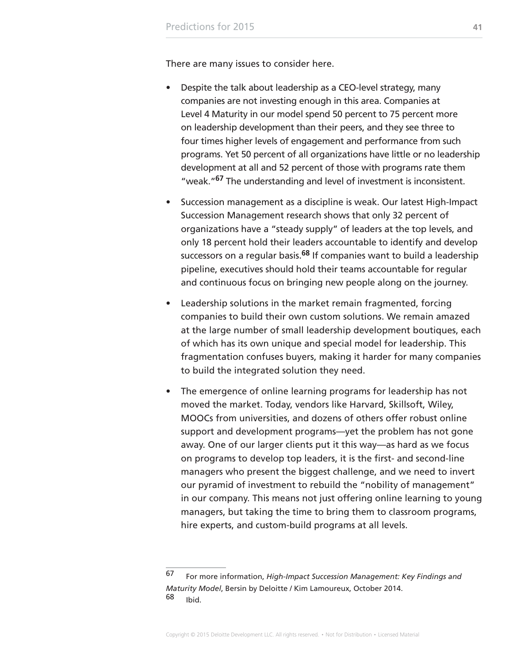There are many issues to consider here.

- Despite the talk about leadership as a CEO-level strategy, many companies are not investing enough in this area. Companies at Level 4 Maturity in our model spend 50 percent to 75 percent more on leadership development than their peers, and they see three to four times higher levels of engagement and performance from such programs. Yet 50 percent of all organizations have little or no leadership development at all and 52 percent of those with programs rate them "weak."**67** The understanding and level of investment is inconsistent.
- Succession management as a discipline is weak. Our latest High-Impact Succession Management research shows that only 32 percent of organizations have a "steady supply" of leaders at the top levels, and only 18 percent hold their leaders accountable to identify and develop successors on a regular basis.**68** If companies want to build a leadership pipeline, executives should hold their teams accountable for regular and continuous focus on bringing new people along on the journey.
- Leadership solutions in the market remain fragmented, forcing companies to build their own custom solutions. We remain amazed at the large number of small leadership development boutiques, each of which has its own unique and special model for leadership. This fragmentation confuses buyers, making it harder for many companies to build the integrated solution they need.
- The emergence of online learning programs for leadership has not moved the market. Today, vendors like Harvard, Skillsoft, Wiley, MOOCs from universities, and dozens of others offer robust online support and development programs—yet the problem has not gone away. One of our larger clients put it this way—as hard as we focus on programs to develop top leaders, it is the first- and second-line managers who present the biggest challenge, and we need to invert our pyramid of investment to rebuild the "nobility of management" in our company. This means not just offering online learning to young managers, but taking the time to bring them to classroom programs, hire experts, and custom-build programs at all levels.

<sup>67</sup> For more information, *High-Impact Succession Management: Key Findings and Maturity Model*, Bersin by Deloitte / Kim Lamoureux, October 2014. 68 Ibid.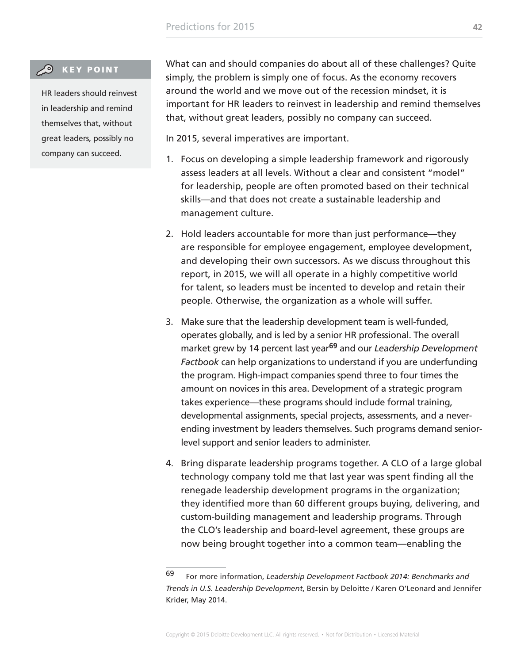### **CO** KEY POINT

HR leaders should reinvest in leadership and remind themselves that, without great leaders, possibly no company can succeed.

What can and should companies do about all of these challenges? Quite simply, the problem is simply one of focus. As the economy recovers around the world and we move out of the recession mindset, it is important for HR leaders to reinvest in leadership and remind themselves that, without great leaders, possibly no company can succeed.

In 2015, several imperatives are important.

- 1. Focus on developing a simple leadership framework and rigorously assess leaders at all levels. Without a clear and consistent "model" for leadership, people are often promoted based on their technical skills—and that does not create a sustainable leadership and management culture.
- 2. Hold leaders accountable for more than just performance—they are responsible for employee engagement, employee development, and developing their own successors. As we discuss throughout this report, in 2015, we will all operate in a highly competitive world for talent, so leaders must be incented to develop and retain their people. Otherwise, the organization as a whole will suffer.
- 3. Make sure that the leadership development team is well-funded, operates globally, and is led by a senior HR professional. The overall market grew by 14 percent last year**69** and our *Leadership Development Factbook* can help organizations to understand if you are underfunding the program. High-impact companies spend three to four times the amount on novices in this area. Development of a strategic program takes experience—these programs should include formal training, developmental assignments, special projects, assessments, and a neverending investment by leaders themselves. Such programs demand seniorlevel support and senior leaders to administer.
- 4. Bring disparate leadership programs together. A CLO of a large global technology company told me that last year was spent finding all the renegade leadership development programs in the organization; they identified more than 60 different groups buying, delivering, and custom-building management and leadership programs. Through the CLO's leadership and board-level agreement, these groups are now being brought together into a common team—enabling the

<sup>69</sup> For more information, *Leadership Development Factbook 2014: Benchmarks and Trends in U.S. Leadership Development*, Bersin by Deloitte / Karen O'Leonard and Jennifer Krider, May 2014.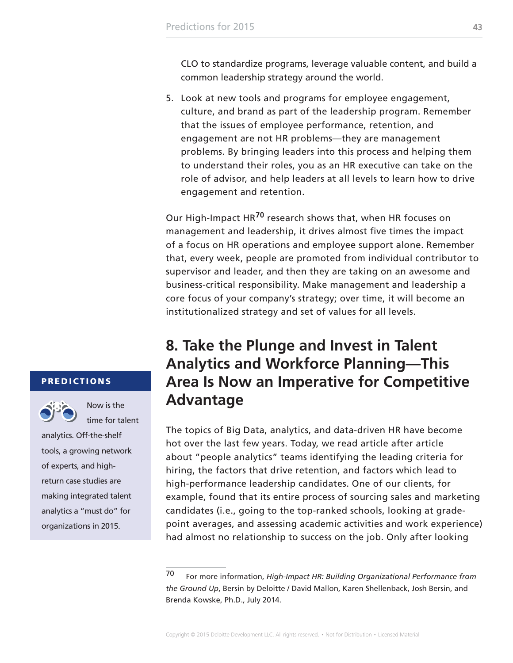<span id="page-42-0"></span>CLO to standardize programs, leverage valuable content, and build a common leadership strategy around the world.

5. Look at new tools and programs for employee engagement, culture, and brand as part of the leadership program. Remember that the issues of employee performance, retention, and engagement are not HR problems—they are management problems. By bringing leaders into this process and helping them to understand their roles, you as an HR executive can take on the role of advisor, and help leaders at all levels to learn how to drive engagement and retention.

Our High-Impact HR**70** research shows that, when HR focuses on management and leadership, it drives almost five times the impact of a focus on HR operations and employee support alone. Remember that, every week, people are promoted from individual contributor to supervisor and leader, and then they are taking on an awesome and business-critical responsibility. Make management and leadership a core focus of your company's strategy; over time, it will become an institutionalized strategy and set of values for all levels.

### **8. Take the Plunge and Invest in Talent Analytics and Workforce Planning—This Area Is Now an Imperative for Competitive Advantage**

The topics of Big Data, analytics, and data-driven HR have become hot over the last few years. Today, we read article after article about "people analytics" teams identifying the leading criteria for hiring, the factors that drive retention, and factors which lead to high-performance leadership candidates. One of our clients, for example, found that its entire process of sourcing sales and marketing candidates (i.e., going to the top-ranked schools, looking at gradepoint averages, and assessing academic activities and work experience) had almost no relationship to success on the job. Only after looking

#### PREDICTIONS



Now is the time for talent

analytics. Off-the-shelf tools, a growing network of experts, and highreturn case studies are making integrated talent analytics a "must do" for organizations in 2015.

<sup>70</sup> For more information, *High-Impact HR: Building Organizational Performance from the Ground Up*, Bersin by Deloitte / David Mallon, Karen Shellenback, Josh Bersin, and Brenda Kowske, Ph.D., July 2014.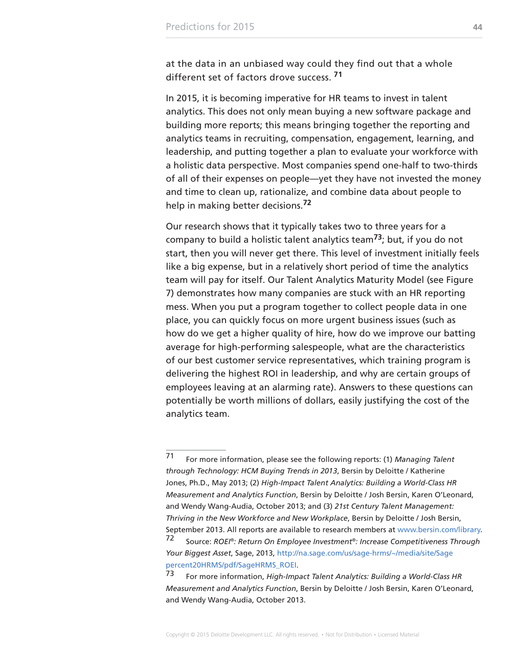at the data in an unbiased way could they find out that a whole different set of factors drove success. **<sup>71</sup>**

In 2015, it is becoming imperative for HR teams to invest in talent analytics. This does not only mean buying a new software package and building more reports; this means bringing together the reporting and analytics teams in recruiting, compensation, engagement, learning, and leadership, and putting together a plan to evaluate your workforce with a holistic data perspective. Most companies spend one-half to two-thirds of all of their expenses on people—yet they have not invested the money and time to clean up, rationalize, and combine data about people to help in making better decisions.**<sup>72</sup>**

Our research shows that it typically takes two to three years for a company to build a holistic talent analytics team**73**; but, if you do not start, then you will never get there. This level of investment initially feels like a big expense, but in a relatively short period of time the analytics team will pay for itself. Our Talent Analytics Maturity Model (see Figure 7) demonstrates how many companies are stuck with an HR reporting mess. When you put a program together to collect people data in one place, you can quickly focus on more urgent business issues (such as how do we get a higher quality of hire, how do we improve our batting average for high-performing salespeople, what are the characteristics of our best customer service representatives, which training program is delivering the highest ROI in leadership, and why are certain groups of employees leaving at an alarming rate). Answers to these questions can potentially be worth millions of dollars, easily justifying the cost of the analytics team.

<sup>71</sup> For more information, please see the following reports: (1) *Managing Talent through Technology: HCM Buying Trends in 2013*, Bersin by Deloitte / Katherine Jones, Ph.D., May 2013; (2) *High-Impact Talent Analytics: Building a World-Class HR Measurement and Analytics Function*, Bersin by Deloitte / Josh Bersin, Karen O'Leonard, and Wendy Wang-Audia, October 2013; and (3) *21st Century Talent Management: Thriving in the New Workforce and New Workplace*, Bersin by Deloitte / Josh Bersin, September 2013. All reports are available to research members at [www.bersin.com/library](http://www.bersin.com/library).

<sup>72</sup> Source: *ROEI®: Return On Employee Investment®: Increase Competitiveness Through Your Biggest Asset*, Sage, 2013, [http://na.sage.com/us/sage-hrms/~/media/site/Sage](http://na.sage.com/us/sage-hrms/~/media/site/Sage%20HRMS/pdf/SageHRMS_ROEI)  [percent20HRMS/pdf/SageHRMS\\_ROEI](http://na.sage.com/us/sage-hrms/~/media/site/Sage%20HRMS/pdf/SageHRMS_ROEI).

<sup>73</sup> For more information, *High-Impact Talent Analytics: Building a World-Class HR Measurement and Analytics Function*, Bersin by Deloitte / Josh Bersin, Karen O'Leonard, and Wendy Wang-Audia, October 2013.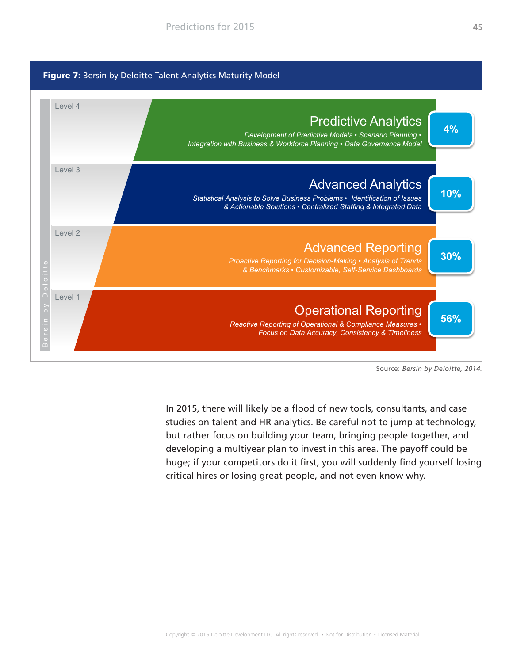<span id="page-44-0"></span>

Source: *Bersin by Deloitte, 2014.*

In 2015, there will likely be a flood of new tools, consultants, and case studies on talent and HR analytics. Be careful not to jump at technology, but rather focus on building your team, bringing people together, and developing a multiyear plan to invest in this area. The payoff could be huge; if your competitors do it first, you will suddenly find yourself losing critical hires or losing great people, and not even know why.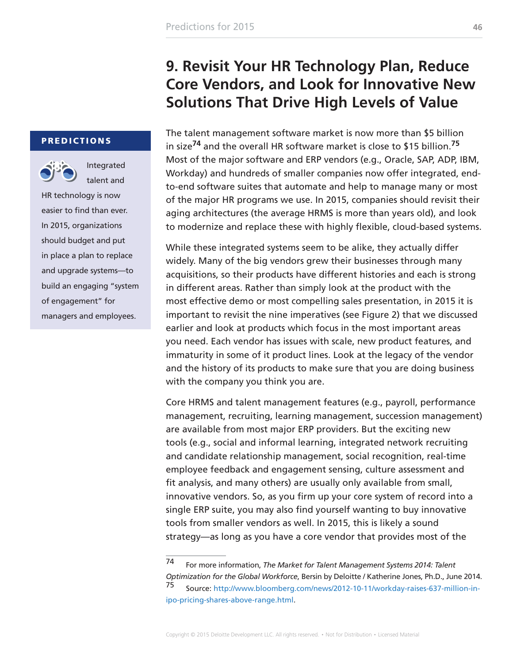### **9. Revisit Your HR Technology Plan, Reduce Core Vendors, and Look for Innovative New Solutions That Drive High Levels of Value**

<span id="page-45-0"></span>PREDICTIONS



Integrated talent and

HR technology is now easier to find than ever. In 2015, organizations should budget and put in place a plan to replace and upgrade systems—to build an engaging "system of engagement" for managers and employees.

The talent management software market is now more than \$5 billion in size**74** and the overall HR software market is close to \$15 billion.**<sup>75</sup>** Most of the major software and ERP vendors (e.g., Oracle, SAP, ADP, IBM, Workday) and hundreds of smaller companies now offer integrated, endto-end software suites that automate and help to manage many or most of the major HR programs we use. In 2015, companies should revisit their aging architectures (the average HRMS is more than years old), and look to modernize and replace these with highly flexible, cloud-based systems.

While these integrated systems seem to be alike, they actually differ widely. Many of the big vendors grew their businesses through many acquisitions, so their products have different histories and each is strong in different areas. Rather than simply look at the product with the most effective demo or most compelling sales presentation, in 2015 it is important to revisit the nine imperatives (see Figure 2) that we discussed earlier and look at products which focus in the most important areas you need. Each vendor has issues with scale, new product features, and immaturity in some of it product lines. Look at the legacy of the vendor and the history of its products to make sure that you are doing business with the company you think you are.

Core HRMS and talent management features (e.g., payroll, performance management, recruiting, learning management, succession management) are available from most major ERP providers. But the exciting new tools (e.g., social and informal learning, integrated network recruiting and candidate relationship management, social recognition, real-time employee feedback and engagement sensing, culture assessment and fit analysis, and many others) are usually only available from small, innovative vendors. So, as you firm up your core system of record into a single ERP suite, you may also find yourself wanting to buy innovative tools from smaller vendors as well. In 2015, this is likely a sound strategy—as long as you have a core vendor that provides most of the

<sup>74</sup> For more information, *The Market for Talent Management Systems 2014: Talent Optimization for the Global Workforce*, Bersin by Deloitte / Katherine Jones, Ph.D., June 2014. <sup>75</sup> Source: [http://www.bloomberg.com/news/2012-10-11/workday-raises-637-million-in](http://www.bloomberg.com/news/2012-10-11/workday-raises-637-million-in-ipo-pricing-shares-above-range.html)[ipo-pricing-shares-above-range.html.](http://www.bloomberg.com/news/2012-10-11/workday-raises-637-million-in-ipo-pricing-shares-above-range.html)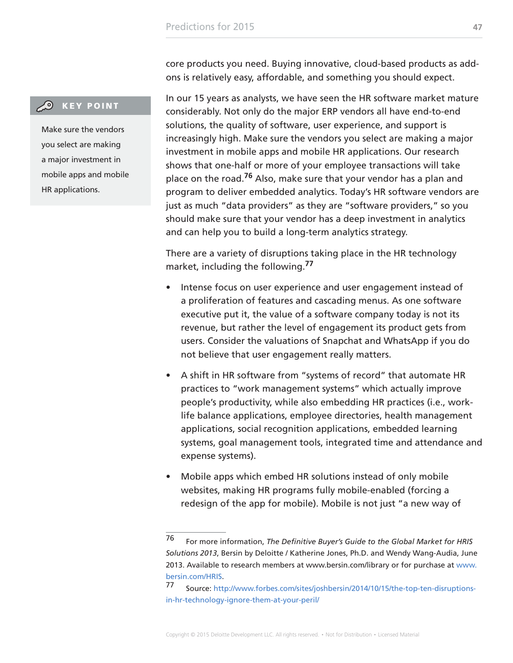core products you need. Buying innovative, cloud-based products as addons is relatively easy, affordable, and something you should expect.

### **CO** KEY POINT

Make sure the vendors you select are making a major investment in mobile apps and mobile HR applications.

In our 15 years as analysts, we have seen the HR software market mature considerably. Not only do the major ERP vendors all have end-to-end solutions, the quality of software, user experience, and support is increasingly high. Make sure the vendors you select are making a major investment in mobile apps and mobile HR applications. Our research shows that one-half or more of your employee transactions will take place on the road.**76** Also, make sure that your vendor has a plan and program to deliver embedded analytics. Today's HR software vendors are just as much "data providers" as they are "software providers," so you should make sure that your vendor has a deep investment in analytics and can help you to build a long-term analytics strategy.

There are a variety of disruptions taking place in the HR technology market, including the following.**<sup>77</sup>**

- Intense focus on user experience and user engagement instead of a proliferation of features and cascading menus. As one software executive put it, the value of a software company today is not its revenue, but rather the level of engagement its product gets from users. Consider the valuations of Snapchat and WhatsApp if you do not believe that user engagement really matters.
- A shift in HR software from "systems of record" that automate HR practices to "work management systems" which actually improve people's productivity, while also embedding HR practices (i.e., worklife balance applications, employee directories, health management applications, social recognition applications, embedded learning systems, goal management tools, integrated time and attendance and expense systems).
- Mobile apps which embed HR solutions instead of only mobile websites, making HR programs fully mobile-enabled (forcing a redesign of the app for mobile). Mobile is not just "a new way of

<sup>76</sup> For more information, *The Definitive Buyer's Guide to the Global Market for HRIS Solutions 2013*, Bersin by Deloitte / Katherine Jones, Ph.D. and Wendy Wang-Audia, June 2013. Available to research members at www.bersin.com/library or for purchase at [www.](http://www.bersin.com/HRIS) [bersin.com/HRIS](http://www.bersin.com/HRIS).

<sup>77</sup> Source: [http://www.forbes.com/sites/joshbersin/2014/10/15/the-top-ten-disruptions](http://www.forbes.com/sites/joshbersin/2014/10/15/the-top-ten-disruptions-in-hr-technology-ignore-them-at-your-peril/)[in-hr-technology-ignore-them-at-your-peril/](http://www.forbes.com/sites/joshbersin/2014/10/15/the-top-ten-disruptions-in-hr-technology-ignore-them-at-your-peril/)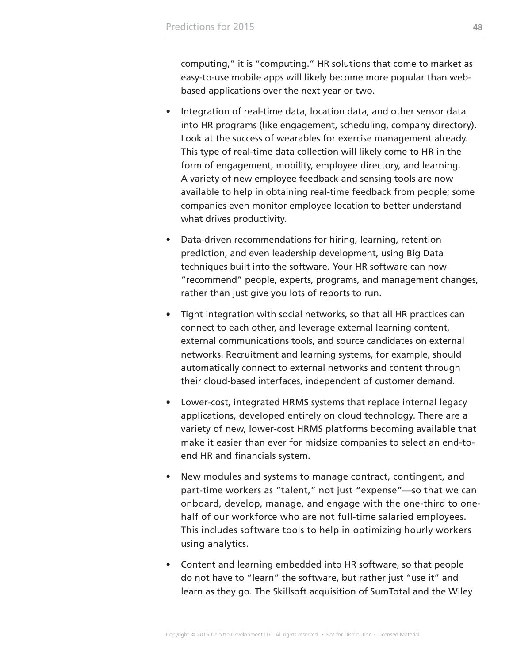computing," it is "computing." HR solutions that come to market as easy-to-use mobile apps will likely become more popular than webbased applications over the next year or two.

- Integration of real-time data, location data, and other sensor data into HR programs (like engagement, scheduling, company directory). Look at the success of wearables for exercise management already. This type of real-time data collection will likely come to HR in the form of engagement, mobility, employee directory, and learning. A variety of new employee feedback and sensing tools are now available to help in obtaining real-time feedback from people; some companies even monitor employee location to better understand what drives productivity.
- Data-driven recommendations for hiring, learning, retention prediction, and even leadership development, using Big Data techniques built into the software. Your HR software can now "recommend" people, experts, programs, and management changes, rather than just give you lots of reports to run.
- Tight integration with social networks, so that all HR practices can connect to each other, and leverage external learning content, external communications tools, and source candidates on external networks. Recruitment and learning systems, for example, should automatically connect to external networks and content through their cloud-based interfaces, independent of customer demand.
- Lower-cost, integrated HRMS systems that replace internal legacy applications, developed entirely on cloud technology. There are a variety of new, lower-cost HRMS platforms becoming available that make it easier than ever for midsize companies to select an end-toend HR and financials system.
- New modules and systems to manage contract, contingent, and part-time workers as "talent," not just "expense"—so that we can onboard, develop, manage, and engage with the one-third to onehalf of our workforce who are not full-time salaried employees. This includes software tools to help in optimizing hourly workers using analytics.
- Content and learning embedded into HR software, so that people do not have to "learn" the software, but rather just "use it" and learn as they go. The Skillsoft acquisition of SumTotal and the Wiley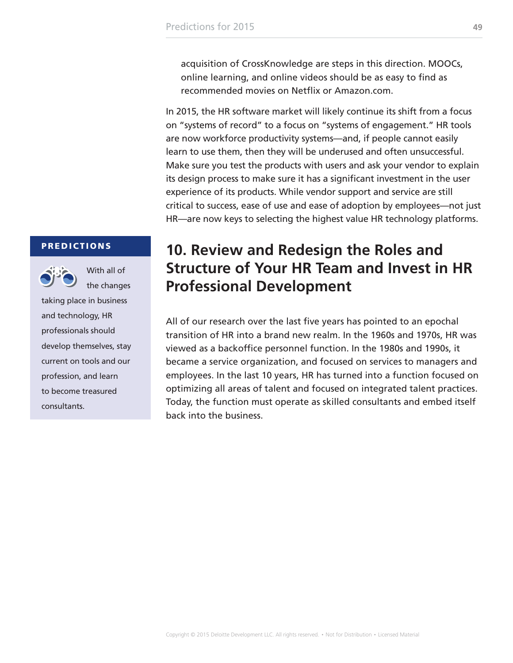<span id="page-48-0"></span>acquisition of CrossKnowledge are steps in this direction. MOOCs, online learning, and online videos should be as easy to find as recommended movies on Netflix or Amazon.com.

In 2015, the HR software market will likely continue its shift from a focus on "systems of record" to a focus on "systems of engagement." HR tools are now workforce productivity systems—and, if people cannot easily learn to use them, then they will be underused and often unsuccessful. Make sure you test the products with users and ask your vendor to explain its design process to make sure it has a significant investment in the user experience of its products. While vendor support and service are still critical to success, ease of use and ease of adoption by employees—not just HR—are now keys to selecting the highest value HR technology platforms.

#### **PREDICTIONS**



With all of the changes

taking place in business and technology, HR professionals should develop themselves, stay current on tools and our profession, and learn to become treasured consultants.

### **10. Review and Redesign the Roles and Structure of Your HR Team and Invest in HR Professional Development**

All of our research over the last five years has pointed to an epochal transition of HR into a brand new realm. In the 1960s and 1970s, HR was viewed as a backoffice personnel function. In the 1980s and 1990s, it became a service organization, and focused on services to managers and employees. In the last 10 years, HR has turned into a function focused on optimizing all areas of talent and focused on integrated talent practices. Today, the function must operate as skilled consultants and embed itself back into the business.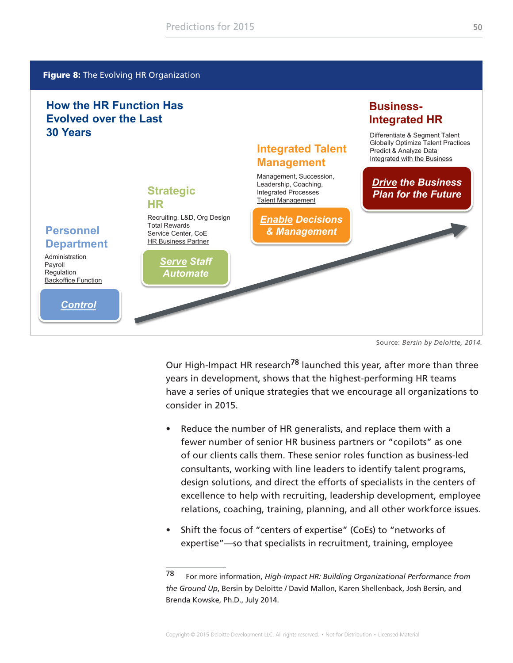#### <span id="page-49-0"></span>**Figure 8:** The Evolving HR Organization

### **How the HR Function Has Evolved over the Last 30 Years**



Source: *Bersin by Deloitte, 2014.*

**Business-**

**Integrated HR**

Our High-Impact HR research**78** launched this year, after more than three years in development, shows that the highest-performing HR teams have a series of unique strategies that we encourage all organizations to consider in 2015.

- Reduce the number of HR generalists, and replace them with a fewer number of senior HR business partners or "copilots" as one of our clients calls them. These senior roles function as business-led consultants, working with line leaders to identify talent programs, design solutions, and direct the efforts of specialists in the centers of excellence to help with recruiting, leadership development, employee relations, coaching, training, planning, and all other workforce issues.
- Shift the focus of "centers of expertise" (CoEs) to "networks of expertise"—so that specialists in recruitment, training, employee

<sup>78</sup> For more information, *High-Impact HR: Building Organizational Performance from the Ground Up*, Bersin by Deloitte / David Mallon, Karen Shellenback, Josh Bersin, and Brenda Kowske, Ph.D., July 2014.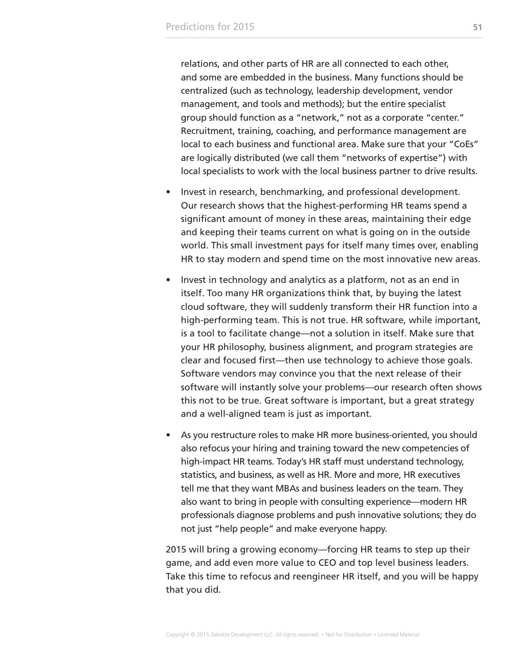relations, and other parts of HR are all connected to each other, and some are embedded in the business. Many functions should be centralized (such as technology, leadership development, vendor management, and tools and methods); but the entire specialist group should function as a "network," not as a corporate "center." Recruitment, training, coaching, and performance management are local to each business and functional area. Make sure that your "CoEs" are logically distributed (we call them "networks of expertise") with local specialists to work with the local business partner to drive results.

- Invest in research, benchmarking, and professional development. Our research shows that the highest-performing HR teams spend a significant amount of money in these areas, maintaining their edge and keeping their teams current on what is going on in the outside world. This small investment pays for itself many times over, enabling HR to stay modern and spend time on the most innovative new areas.
- Invest in technology and analytics as a platform, not as an end in itself. Too many HR organizations think that, by buying the latest cloud software, they will suddenly transform their HR function into a high-performing team. This is not true. HR software, while important, is a tool to facilitate change—not a solution in itself. Make sure that your HR philosophy, business alignment, and program strategies are clear and focused first—then use technology to achieve those goals. Software vendors may convince you that the next release of their software will instantly solve your problems—our research often shows this not to be true. Great software is important, but a great strategy and a well-aligned team is just as important.
- As you restructure roles to make HR more business-oriented, you should also refocus your hiring and training toward the new competencies of high-impact HR teams. Today's HR staff must understand technology, statistics, and business, as well as HR. More and more, HR executives tell me that they want MBAs and business leaders on the team. They also want to bring in people with consulting experience—modern HR professionals diagnose problems and push innovative solutions; they do not just "help people" and make everyone happy.

2015 will bring a growing economy—forcing HR teams to step up their game, and add even more value to CEO and top level business leaders. Take this time to refocus and reengineer HR itself, and you will be happy that you did.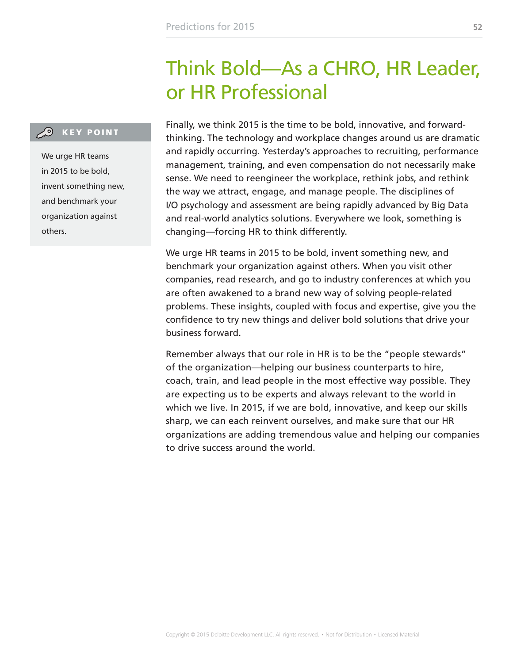# Think Bold—As a CHRO, HR Leader, or HR Professional

### <span id="page-51-0"></span>**CO** KEY POINT

We urge HR teams in 2015 to be bold, invent something new, and benchmark your organization against others.

Finally, we think 2015 is the time to be bold, innovative, and forwardthinking. The technology and workplace changes around us are dramatic and rapidly occurring. Yesterday's approaches to recruiting, performance management, training, and even compensation do not necessarily make sense. We need to reengineer the workplace, rethink jobs, and rethink the way we attract, engage, and manage people. The disciplines of I/O psychology and assessment are being rapidly advanced by Big Data and real-world analytics solutions. Everywhere we look, something is changing—forcing HR to think differently.

We urge HR teams in 2015 to be bold, invent something new, and benchmark your organization against others. When you visit other companies, read research, and go to industry conferences at which you are often awakened to a brand new way of solving people-related problems. These insights, coupled with focus and expertise, give you the confidence to try new things and deliver bold solutions that drive your business forward.

Remember always that our role in HR is to be the "people stewards" of the organization—helping our business counterparts to hire, coach, train, and lead people in the most effective way possible. They are expecting us to be experts and always relevant to the world in which we live. In 2015, if we are bold, innovative, and keep our skills sharp, we can each reinvent ourselves, and make sure that our HR organizations are adding tremendous value and helping our companies to drive success around the world.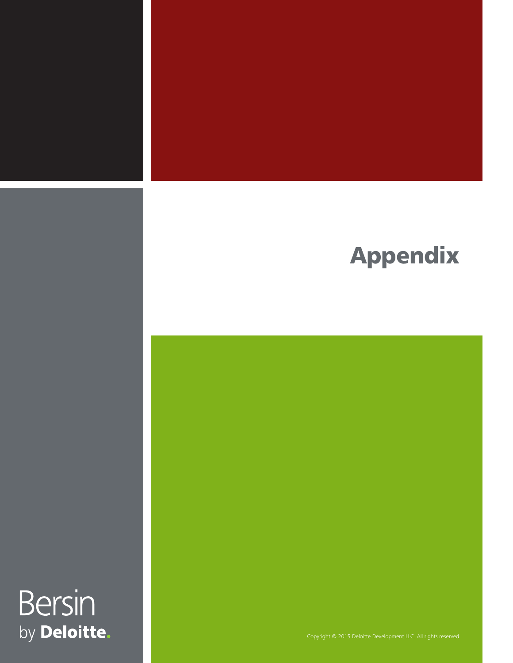# Appendix

Bersin by Deloitte.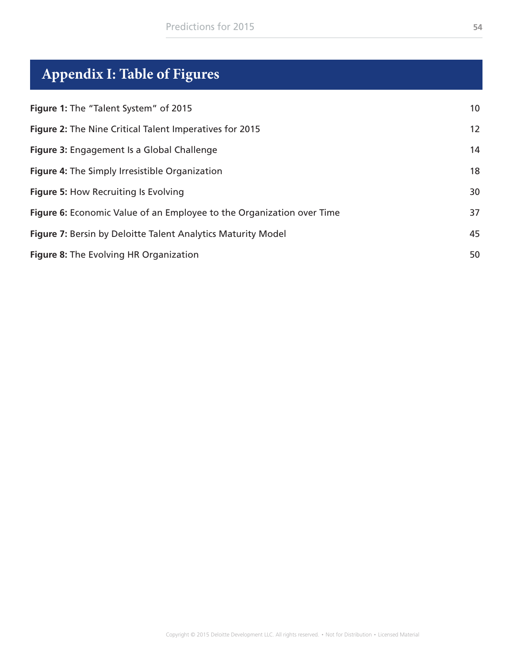## <span id="page-53-0"></span>**Appendix I: Table of Figures**

| Figure 1: The "Talent System" of 2015                                 | 10 |
|-----------------------------------------------------------------------|----|
| Figure 2: The Nine Critical Talent Imperatives for 2015               | 12 |
| Figure 3: Engagement Is a Global Challenge                            | 14 |
| Figure 4: The Simply Irresistible Organization                        | 18 |
| <b>Figure 5: How Recruiting Is Evolving</b>                           | 30 |
| Figure 6: Economic Value of an Employee to the Organization over Time | 37 |
| Figure 7: Bersin by Deloitte Talent Analytics Maturity Model          | 45 |
| Figure 8: The Evolving HR Organization                                | 50 |